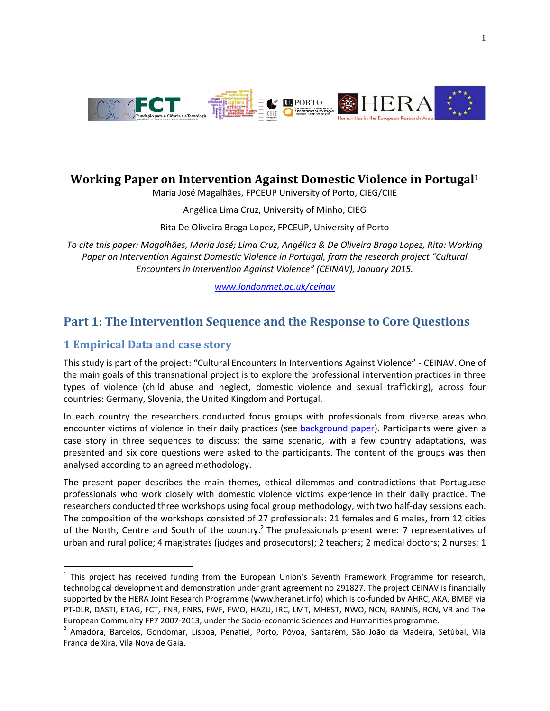

## **Working Paper on Intervention Against Domestic Violence in Portugal<sup>1</sup>**

Maria José Magalhães, FPCEUP University of Porto, CIEG/CIIE

Angélica Lima Cruz, University of Minho, CIEG

Rita De Oliveira Braga Lopez, FPCEUP, University of Porto

*To cite this paper: Magalhães, Maria José; Lima Cruz, Angélica & De Oliveira Braga Lopez, Rita: Working Paper on Intervention Against Domestic Violence in Portugal, from the research project "Cultural Encounters in Intervention Against Violence" (CEINAV), January 2015.*

*[www.londonmet.ac.uk/ceinav](http://www.londonmet.ac.uk/ceinav)*

# **Part 1: The Intervention Sequence and the Response to Core Questions**

## **1 Empirical Data and case story**

 $\overline{a}$ 

This study is part of the project: "Cultural Encounters In Interventions Against Violence" - CEINAV. One of the main goals of this transnational project is to explore the professional intervention practices in three types of violence (child abuse and neglect, domestic violence and sexual trafficking), across four countries: Germany, Slovenia, the United Kingdom and Portugal.

In each country the researchers conducted focus groups with professionals from diverse areas who encounter victims of violence in their daily practices (see [background paper\)](http://tinyurl.com/ceinavbackgroundpaper). Participants were given a case story in three sequences to discuss; the same scenario, with a few country adaptations, was presented and six core questions were asked to the participants. The content of the groups was then analysed according to an agreed methodology.

The present paper describes the main themes, ethical dilemmas and contradictions that Portuguese professionals who work closely with domestic violence victims experience in their daily practice. The researchers conducted three workshops using focal group methodology, with two half-day sessions each. The composition of the workshops consisted of 27 professionals: 21 females and 6 males, from 12 cities of the North, Centre and South of the country.<sup>2</sup> The professionals present were: 7 representatives of urban and rural police; 4 magistrates (judges and prosecutors); 2 teachers; 2 medical doctors; 2 nurses; 1

<sup>&</sup>lt;sup>1</sup> This project has received funding from the European Union's Seventh Framework Programme for research, technological development and demonstration under grant agreement no 291827. The project CEINAV is financially supported by the HERA Joint Research Programme [\(www.heranet.info\)](http://www.heranet.info/) which is co-funded by AHRC, AKA, BMBF via PT-DLR, DASTI, ETAG, FCT, FNR, FNRS, FWF, FWO, HAZU, IRC, LMT, MHEST, NWO, NCN, RANNÍS, RCN, VR and The European Community FP7 2007-2013, under the Socio-economic Sciences and Humanities programme.

<sup>&</sup>lt;sup>2</sup> Amadora, Barcelos, Gondomar, Lisboa, Penafiel, Porto, Póvoa, Santarém, São João da Madeira, Setúbal, Vila Franca de Xira, Vila Nova de Gaia.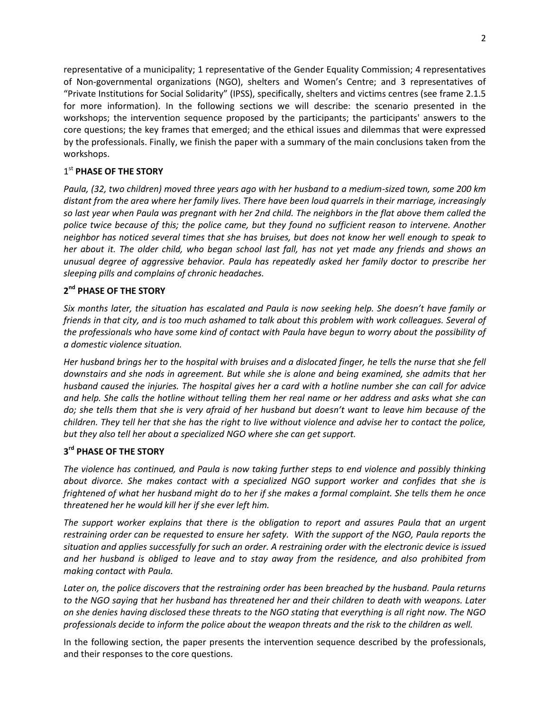representative of a municipality; 1 representative of the Gender Equality Commission; 4 representatives of Non-governmental organizations (NGO), shelters and Women's Centre; and 3 representatives of "Private Institutions for Social Solidarity" (IPSS), specifically, shelters and victims centres (see frame 2.1.5 for more information). In the following sections we will describe: the scenario presented in the workshops; the intervention sequence proposed by the participants; the participants' answers to the core questions; the key frames that emerged; and the ethical issues and dilemmas that were expressed by the professionals. Finally, we finish the paper with a summary of the main conclusions taken from the workshops.

## 1 st **PHASE OF THE STORY**

*Paula, (32, two children) moved three years ago with her husband to a medium-sized town, some 200 km distant from the area where her family lives. There have been loud quarrels in their marriage, increasingly so last year when Paula was pregnant with her 2nd child. The neighbors in the flat above them called the police twice because of this; the police came, but they found no sufficient reason to intervene. Another neighbor has noticed several times that she has bruises, but does not know her well enough to speak to her about it. The older child, who began school last fall, has not yet made any friends and shows an unusual degree of aggressive behavior. Paula has repeatedly asked her family doctor to prescribe her sleeping pills and complains of chronic headaches.* 

## **2 nd PHASE OF THE STORY**

*Six months later, the situation has escalated and Paula is now seeking help. She doesn't have family or friends in that city, and is too much ashamed to talk about this problem with work colleagues. Several of the professionals who have some kind of contact with Paula have begun to worry about the possibility of a domestic violence situation.* 

*Her husband brings her to the hospital with bruises and a dislocated finger, he tells the nurse that she fell downstairs and she nods in agreement. But while she is alone and being examined, she admits that her husband caused the injuries. The hospital gives her a card with a hotline number she can call for advice and help. She calls the hotline without telling them her real name or her address and asks what she can do; she tells them that she is very afraid of her husband but doesn't want to leave him because of the children. They tell her that she has the right to live without violence and advise her to contact the police, but they also tell her about a specialized NGO where she can get support.*

## **3 rd PHASE OF THE STORY**

*The violence has continued, and Paula is now taking further steps to end violence and possibly thinking about divorce. She makes contact with a specialized NGO support worker and confides that she is frightened of what her husband might do to her if she makes a formal complaint. She tells them he once threatened her he would kill her if she ever left him.*

*The support worker explains that there is the obligation to report and assures Paula that an urgent restraining order can be requested to ensure her safety. With the support of the NGO, Paula reports the situation and applies successfully for such an order. A restraining order with the electronic device is issued and her husband is obliged to leave and to stay away from the residence, and also prohibited from making contact with Paula.*

*Later on, the police discovers that the restraining order has been breached by the husband. Paula returns to the NGO saying that her husband has threatened her and their children to death with weapons. Later on she denies having disclosed these threats to the NGO stating that everything is all right now. The NGO professionals decide to inform the police about the weapon threats and the risk to the children as well.*

In the following section, the paper presents the intervention sequence described by the professionals, and their responses to the core questions.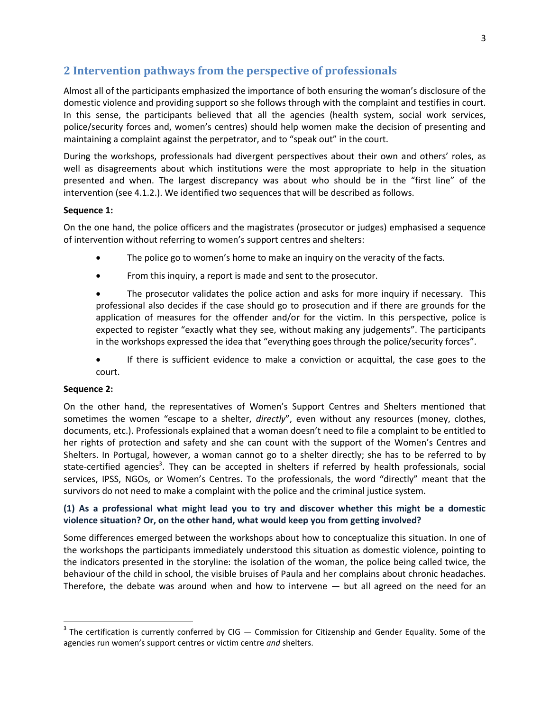## **2 Intervention pathways from the perspective of professionals**

Almost all of the participants emphasized the importance of both ensuring the woman's disclosure of the domestic violence and providing support so she follows through with the complaint and testifies in court. In this sense, the participants believed that all the agencies (health system, social work services, police/security forces and, women's centres) should help women make the decision of presenting and maintaining a complaint against the perpetrator, and to "speak out" in the court.

During the workshops, professionals had divergent perspectives about their own and others' roles, as well as disagreements about which institutions were the most appropriate to help in the situation presented and when. The largest discrepancy was about who should be in the "first line" of the intervention (see 4.1.2.). We identified two sequences that will be described as follows.

### **Sequence 1:**

On the one hand, the police officers and the magistrates (prosecutor or judges) emphasised a sequence of intervention without referring to women's support centres and shelters:

- The police go to women's home to make an inquiry on the veracity of the facts.
- From this inquiry, a report is made and sent to the prosecutor.

• The prosecutor validates the police action and asks for more inquiry if necessary. This professional also decides if the case should go to prosecution and if there are grounds for the application of measures for the offender and/or for the victim. In this perspective, police is expected to register "exactly what they see, without making any judgements". The participants in the workshops expressed the idea that "everything goes through the police/security forces".

 If there is sufficient evidence to make a conviction or acquittal, the case goes to the court.

### **Sequence 2:**

 $\ddot{\phantom{a}}$ 

On the other hand, the representatives of Women's Support Centres and Shelters mentioned that sometimes the women "escape to a shelter, *directly*", even without any resources (money, clothes, documents, etc.). Professionals explained that a woman doesn't need to file a complaint to be entitled to her rights of protection and safety and she can count with the support of the Women's Centres and Shelters. In Portugal, however, a woman cannot go to a shelter directly; she has to be referred to by state-certified agencies<sup>3</sup>. They can be accepted in shelters if referred by health professionals, social services, IPSS, NGOs, or Women's Centres. To the professionals, the word "directly" meant that the survivors do not need to make a complaint with the police and the criminal justice system.

### **(1) As a professional what might lead you to try and discover whether this might be a domestic violence situation? Or, on the other hand, what would keep you from getting involved?**

Some differences emerged between the workshops about how to conceptualize this situation. In one of the workshops the participants immediately understood this situation as domestic violence, pointing to the indicators presented in the storyline: the isolation of the woman, the police being called twice, the behaviour of the child in school, the visible bruises of Paula and her complains about chronic headaches. Therefore, the debate was around when and how to intervene  $-$  but all agreed on the need for an

 $3$  The certification is currently conferred by CIG  $-$  Commission for Citizenship and Gender Equality. Some of the agencies run women's support centres or victim centre *and* shelters.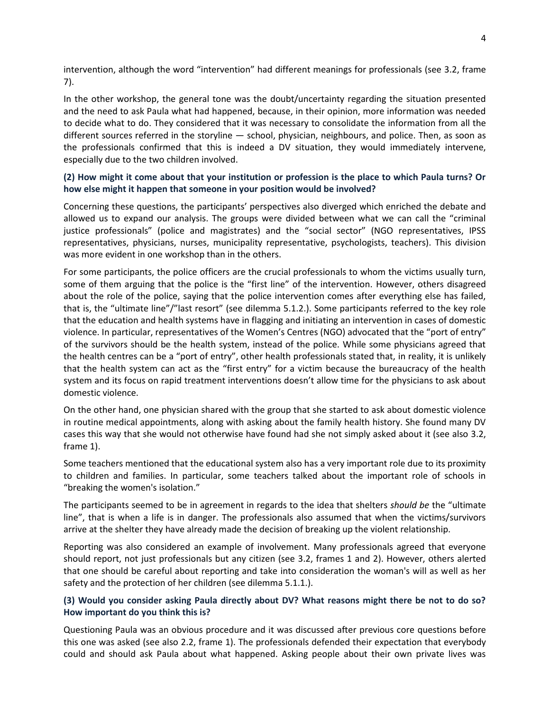intervention, although the word "intervention" had different meanings for professionals (see 3.2, frame 7).

In the other workshop, the general tone was the doubt/uncertainty regarding the situation presented and the need to ask Paula what had happened, because, in their opinion, more information was needed to decide what to do. They considered that it was necessary to consolidate the information from all the different sources referred in the storyline — school, physician, neighbours, and police. Then, as soon as the professionals confirmed that this is indeed a DV situation, they would immediately intervene, especially due to the two children involved.

### **(2) How might it come about that your institution or profession is the place to which Paula turns? Or how else might it happen that someone in your position would be involved?**

Concerning these questions, the participants' perspectives also diverged which enriched the debate and allowed us to expand our analysis. The groups were divided between what we can call the "criminal justice professionals" (police and magistrates) and the "social sector" (NGO representatives, IPSS representatives, physicians, nurses, municipality representative, psychologists, teachers). This division was more evident in one workshop than in the others.

For some participants, the police officers are the crucial professionals to whom the victims usually turn, some of them arguing that the police is the "first line" of the intervention. However, others disagreed about the role of the police, saying that the police intervention comes after everything else has failed, that is, the "ultimate line"/"last resort" (see dilemma 5.1.2.). Some participants referred to the key role that the education and health systems have in flagging and initiating an intervention in cases of domestic violence. In particular, representatives of the Women's Centres (NGO) advocated that the "port of entry" of the survivors should be the health system, instead of the police. While some physicians agreed that the health centres can be a "port of entry", other health professionals stated that, in reality, it is unlikely that the health system can act as the "first entry" for a victim because the bureaucracy of the health system and its focus on rapid treatment interventions doesn't allow time for the physicians to ask about domestic violence.

On the other hand, one physician shared with the group that she started to ask about domestic violence in routine medical appointments, along with asking about the family health history. She found many DV cases this way that she would not otherwise have found had she not simply asked about it (see also 3.2, frame 1).

Some teachers mentioned that the educational system also has a very important role due to its proximity to children and families. In particular, some teachers talked about the important role of schools in "breaking the women's isolation."

The participants seemed to be in agreement in regards to the idea that shelters *should be* the "ultimate line", that is when a life is in danger. The professionals also assumed that when the victims/survivors arrive at the shelter they have already made the decision of breaking up the violent relationship.

Reporting was also considered an example of involvement. Many professionals agreed that everyone should report, not just professionals but any citizen (see 3.2, frames 1 and 2). However, others alerted that one should be careful about reporting and take into consideration the woman's will as well as her safety and the protection of her children (see dilemma 5.1.1.).

### **(3) Would you consider asking Paula directly about DV? What reasons might there be not to do so? How important do you think this is?**

Questioning Paula was an obvious procedure and it was discussed after previous core questions before this one was asked (see also 2.2, frame 1). The professionals defended their expectation that everybody could and should ask Paula about what happened. Asking people about their own private lives was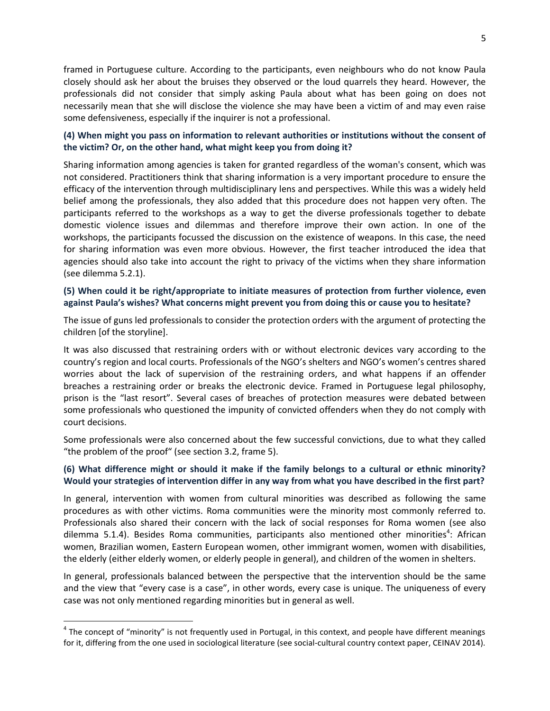framed in Portuguese culture. According to the participants, even neighbours who do not know Paula closely should ask her about the bruises they observed or the loud quarrels they heard. However, the professionals did not consider that simply asking Paula about what has been going on does not necessarily mean that she will disclose the violence she may have been a victim of and may even raise some defensiveness, especially if the inquirer is not a professional.

### **(4) When might you pass on information to relevant authorities or institutions without the consent of the victim? Or, on the other hand, what might keep you from doing it?**

Sharing information among agencies is taken for granted regardless of the woman's consent, which was not considered. Practitioners think that sharing information is a very important procedure to ensure the efficacy of the intervention through multidisciplinary lens and perspectives. While this was a widely held belief among the professionals, they also added that this procedure does not happen very often. The participants referred to the workshops as a way to get the diverse professionals together to debate domestic violence issues and dilemmas and therefore improve their own action. In one of the workshops, the participants focussed the discussion on the existence of weapons. In this case, the need for sharing information was even more obvious. However, the first teacher introduced the idea that agencies should also take into account the right to privacy of the victims when they share information (see dilemma 5.2.1).

### **(5) When could it be right/appropriate to initiate measures of protection from further violence, even against Paula's wishes? What concerns might prevent you from doing this or cause you to hesitate?**

The issue of guns led professionals to consider the protection orders with the argument of protecting the children [of the storyline].

It was also discussed that restraining orders with or without electronic devices vary according to the country's region and local courts. Professionals of the NGO's shelters and NGO's women's centres shared worries about the lack of supervision of the restraining orders, and what happens if an offender breaches a restraining order or breaks the electronic device. Framed in Portuguese legal philosophy, prison is the "last resort". Several cases of breaches of protection measures were debated between some professionals who questioned the impunity of convicted offenders when they do not comply with court decisions.

Some professionals were also concerned about the few successful convictions, due to what they called "the problem of the proof" (see section 3.2, frame 5).

### **(6) What difference might or should it make if the family belongs to a cultural or ethnic minority? Would your strategies of intervention differ in any way from what you have described in the first part?**

In general, intervention with women from cultural minorities was described as following the same procedures as with other victims. Roma communities were the minority most commonly referred to. Professionals also shared their concern with the lack of social responses for Roma women (see also dilemma 5.1.4). Besides Roma communities, participants also mentioned other minorities<sup>4</sup>: African women, Brazilian women, Eastern European women, other immigrant women, women with disabilities, the elderly (either elderly women, or elderly people in general), and children of the women in shelters.

In general, professionals balanced between the perspective that the intervention should be the same and the view that "every case is a case", in other words, every case is unique. The uniqueness of every case was not only mentioned regarding minorities but in general as well.

 $\ddot{\phantom{a}}$ 

<sup>&</sup>lt;sup>4</sup> The concept of "minority" is not frequently used in Portugal, in this context, and people have different meanings for it, differing from the one used in sociological literature (see social-cultural country context paper, CEINAV 2014).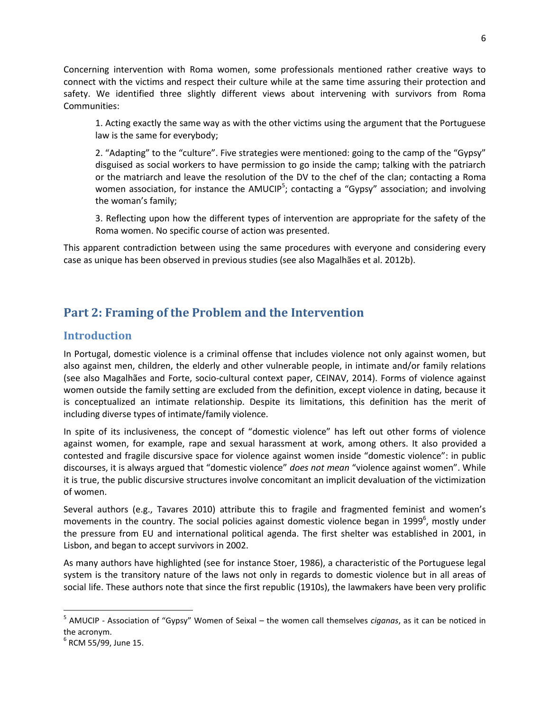Concerning intervention with Roma women, some professionals mentioned rather creative ways to connect with the victims and respect their culture while at the same time assuring their protection and safety. We identified three slightly different views about intervening with survivors from Roma Communities:

1. Acting exactly the same way as with the other victims using the argument that the Portuguese law is the same for everybody;

2. "Adapting" to the "culture". Five strategies were mentioned: going to the camp of the "Gypsy" disguised as social workers to have permission to go inside the camp; talking with the patriarch or the matriarch and leave the resolution of the DV to the chef of the clan; contacting a Roma women association, for instance the AMUCIP<sup>5</sup>; contacting a "Gypsy" association; and involving the woman's family;

3. Reflecting upon how the different types of intervention are appropriate for the safety of the Roma women. No specific course of action was presented.

This apparent contradiction between using the same procedures with everyone and considering every case as unique has been observed in previous studies (see also Magalhães et al. 2012b).

# **Part 2: Framing of the Problem and the Intervention**

## **Introduction**

In Portugal, domestic violence is a criminal offense that includes violence not only against women, but also against men, children, the elderly and other vulnerable people, in intimate and/or family relations (see also Magalhães and Forte, socio-cultural context paper, CEINAV, 2014). Forms of violence against women outside the family setting are excluded from the definition, except violence in dating, because it is conceptualized an intimate relationship. Despite its limitations, this definition has the merit of including diverse types of intimate/family violence.

In spite of its inclusiveness, the concept of "domestic violence" has left out other forms of violence against women, for example, rape and sexual harassment at work, among others. It also provided a contested and fragile discursive space for violence against women inside "domestic violence": in public discourses, it is always argued that "domestic violence" *does not mean* "violence against women". While it is true, the public discursive structures involve concomitant an implicit devaluation of the victimization of women.

Several authors (e.g., Tavares 2010) attribute this to fragile and fragmented feminist and women's movements in the country. The social policies against domestic violence began in 1999<sup>6</sup>, mostly under the pressure from EU and international political agenda. The first shelter was established in 2001, in Lisbon, and began to accept survivors in 2002.

As many authors have highlighted (see for instance Stoer, 1986), a characteristic of the Portuguese legal system is the transitory nature of the laws not only in regards to domestic violence but in all areas of social life. These authors note that since the first republic (1910s), the lawmakers have been very prolific

 $\overline{a}$ 

<sup>5</sup> AMUCIP - Association of "Gypsy" Women of Seixal – the women call themselves *ciganas*, as it can be noticed in the acronym.

<sup>6</sup> RCM 55/99, June 15.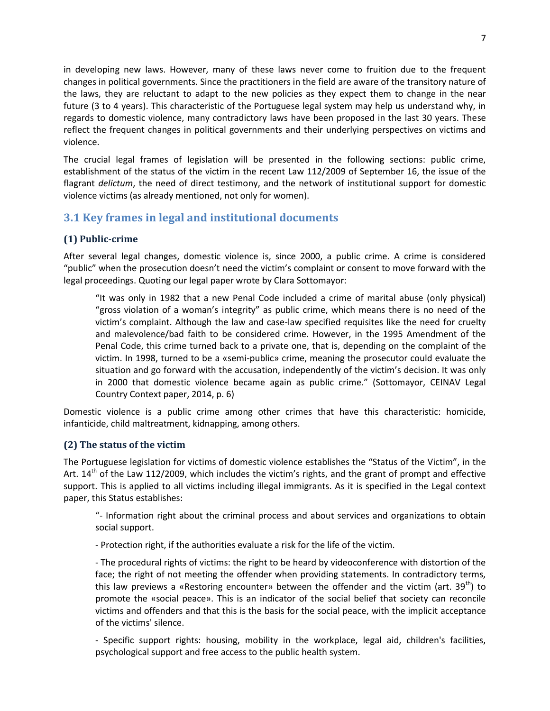in developing new laws. However, many of these laws never come to fruition due to the frequent changes in political governments. Since the practitioners in the field are aware of the transitory nature of the laws, they are reluctant to adapt to the new policies as they expect them to change in the near future (3 to 4 years). This characteristic of the Portuguese legal system may help us understand why, in regards to domestic violence, many contradictory laws have been proposed in the last 30 years. These reflect the frequent changes in political governments and their underlying perspectives on victims and violence.

The crucial legal frames of legislation will be presented in the following sections: public crime, establishment of the status of the victim in the recent Law 112/2009 of September 16, the issue of the flagrant *delictum*, the need of direct testimony, and the network of institutional support for domestic violence victims (as already mentioned, not only for women).

## **3.1 Key frames in legal and institutional documents**

## **(1) Public-crime**

After several legal changes, domestic violence is, since 2000, a public crime. A crime is considered "public" when the prosecution doesn't need the victim's complaint or consent to move forward with the legal proceedings. Quoting our legal paper wrote by Clara Sottomayor:

"It was only in 1982 that a new Penal Code included a crime of marital abuse (only physical) "gross violation of a woman's integrity" as public crime, which means there is no need of the victim's complaint. Although the law and case-law specified requisites like the need for cruelty and malevolence/bad faith to be considered crime. However, in the 1995 Amendment of the Penal Code, this crime turned back to a private one, that is, depending on the complaint of the victim. In 1998, turned to be a «semi-public» crime, meaning the prosecutor could evaluate the situation and go forward with the accusation, independently of the victim's decision. It was only in 2000 that domestic violence became again as public crime." (Sottomayor, CEINAV Legal Country Context paper, 2014, p. 6)

Domestic violence is a public crime among other crimes that have this characteristic: homicide, infanticide, child maltreatment, kidnapping, among others.

## **(2) The status of the victim**

The Portuguese legislation for victims of domestic violence establishes the "Status of the Victim", in the Art.  $14<sup>th</sup>$  of the Law 112/2009, which includes the victim's rights, and the grant of prompt and effective support. This is applied to all victims including illegal immigrants. As it is specified in the Legal context paper, this Status establishes:

"- Information right about the criminal process and about services and organizations to obtain social support.

- Protection right, if the authorities evaluate a risk for the life of the victim.

- The procedural rights of victims: the right to be heard by videoconference with distortion of the face; the right of not meeting the offender when providing statements. In contradictory terms, this law previews a «Restoring encounter» between the offender and the victim (art.  $39^{\text{th}}$ ) to promote the «social peace». This is an indicator of the social belief that society can reconcile victims and offenders and that this is the basis for the social peace, with the implicit acceptance of the victims' silence.

- Specific support rights: housing, mobility in the workplace, legal aid, children's facilities, psychological support and free access to the public health system.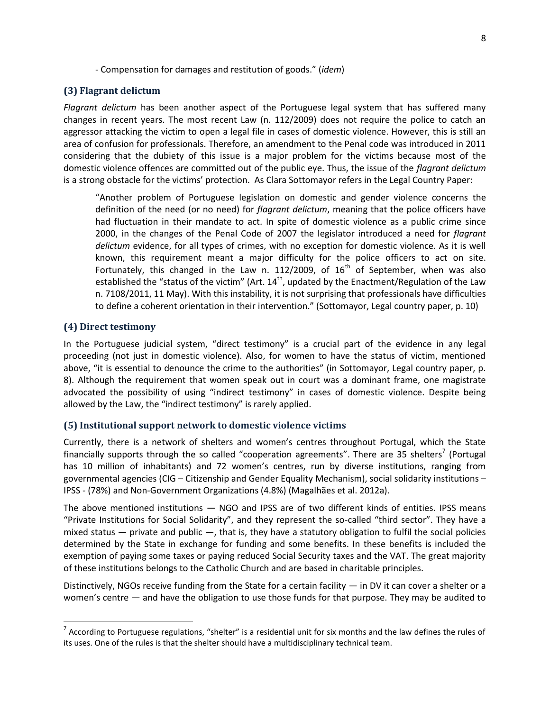- Compensation for damages and restitution of goods." (*idem*)

#### **(3) Flagrant delictum**

*Flagrant delictum* has been another aspect of the Portuguese legal system that has suffered many changes in recent years. The most recent Law (n. 112/2009) does not require the police to catch an aggressor attacking the victim to open a legal file in cases of domestic violence. However, this is still an area of confusion for professionals. Therefore, an amendment to the Penal code was introduced in 2011 considering that the dubiety of this issue is a major problem for the victims because most of the domestic violence offences are committed out of the public eye. Thus, the issue of the *flagrant delictum* is a strong obstacle for the victims' protection. As Clara Sottomayor refers in the Legal Country Paper:

"Another problem of Portuguese legislation on domestic and gender violence concerns the definition of the need (or no need) for *flagrant delictum*, meaning that the police officers have had fluctuation in their mandate to act. In spite of domestic violence as a public crime since 2000, in the changes of the Penal Code of 2007 the legislator introduced a need for *flagrant delictum* evidence, for all types of crimes, with no exception for domestic violence. As it is well known, this requirement meant a major difficulty for the police officers to act on site. Fortunately, this changed in the Law n. 112/2009, of  $16<sup>th</sup>$  of September, when was also established the "status of the victim" (Art.  $14<sup>th</sup>$ , updated by the Enactment/Regulation of the Law n. 7108/2011, 11 May). With this instability, it is not surprising that professionals have difficulties to define a coherent orientation in their intervention." (Sottomayor, Legal country paper, p. 10)

#### **(4) Direct testimony**

 $\ddot{\phantom{a}}$ 

In the Portuguese judicial system, "direct testimony" is a crucial part of the evidence in any legal proceeding (not just in domestic violence). Also, for women to have the status of victim, mentioned above, "it is essential to denounce the crime to the authorities" (in Sottomayor, Legal country paper, p. 8). Although the requirement that women speak out in court was a dominant frame, one magistrate advocated the possibility of using "indirect testimony" in cases of domestic violence. Despite being allowed by the Law, the "indirect testimony" is rarely applied.

#### **(5) Institutional support network to domestic violence victims**

Currently, there is a network of shelters and women's centres throughout Portugal, which the State financially supports through the so called "cooperation agreements". There are 35 shelters<sup>7</sup> (Portugal has 10 million of inhabitants) and 72 women's centres, run by diverse institutions, ranging from governmental agencies (CIG – Citizenship and Gender Equality Mechanism), social solidarity institutions – IPSS - (78%) and Non-Government Organizations (4.8%) (Magalhães et al. 2012a).

The above mentioned institutions — NGO and IPSS are of two different kinds of entities. IPSS means "Private Institutions for Social Solidarity", and they represent the so-called "third sector". They have a mixed status  $-$  private and public  $-$ , that is, they have a statutory obligation to fulfil the social policies determined by the State in exchange for funding and some benefits. In these benefits is included the exemption of paying some taxes or paying reduced Social Security taxes and the VAT. The great majority of these institutions belongs to the Catholic Church and are based in charitable principles.

Distinctively, NGOs receive funding from the State for a certain facility — in DV it can cover a shelter or a women's centre — and have the obligation to use those funds for that purpose. They may be audited to

 $^7$  According to Portuguese regulations, "shelter" is a residential unit for six months and the law defines the rules of its uses. One of the rules is that the shelter should have a multidisciplinary technical team.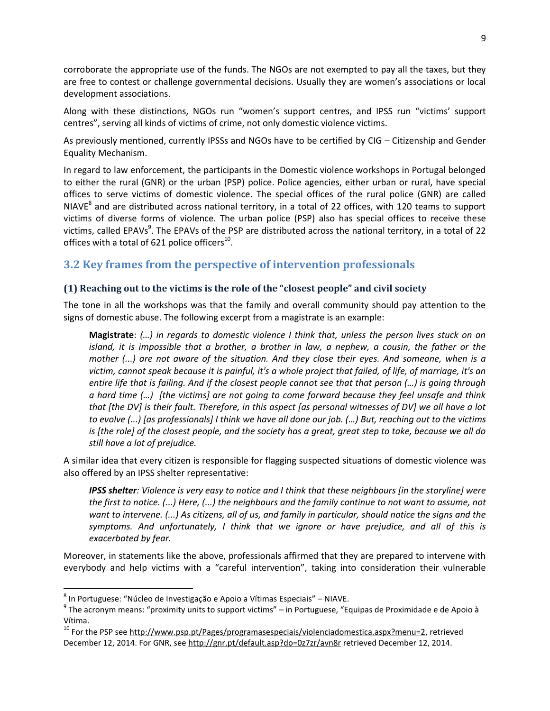corroborate the appropriate use of the funds. The NGOs are not exempted to pay all the taxes, but they are free to contest or challenge governmental decisions. Usually they are women's associations or local development associations.

Along with these distinctions, NGOs run "women's support centres, and IPSS run "victims' support centres", serving all kinds of victims of crime, not only domestic violence victims.

As previously mentioned, currently IPSSs and NGOs have to be certified by CIG – Citizenship and Gender Equality Mechanism.

In regard to law enforcement, the participants in the Domestic violence workshops in Portugal belonged to either the rural (GNR) or the urban (PSP) police. Police agencies, either urban or rural, have special offices to serve victims of domestic violence. The special offices of the rural police (GNR) are called NIAVE<sup>8</sup> and are distributed across national territory, in a total of 22 offices, with 120 teams to support victims of diverse forms of violence. The urban police (PSP) also has special offices to receive these victims, called EPAVs<sup>9</sup>. The EPAVs of the PSP are distributed across the national territory, in a total of 22 offices with a total of 621 police officers $^{10}$ .

## **3.2 Key frames from the perspective of intervention professionals**

## **(1) Reaching out to the victims is the role of the "closest people" and civil society**

The tone in all the workshops was that the family and overall community should pay attention to the signs of domestic abuse. The following excerpt from a magistrate is an example:

**Magistrate**: *(…) in regards to domestic violence I think that, unless the person lives stuck on an island, it is impossible that a brother, a brother in law, a nephew, a cousin, the father or the mother (...) are not aware of the situation. And they close their eyes. And someone, when is a victim, cannot speak because it is painful, it's a whole project that failed, of life, of marriage, it's an entire life that is failing. And if the closest people cannot see that that person (…) is going through a hard time (…) [the victims] are not going to come forward because they feel unsafe and think that [the DV] is their fault. Therefore, in this aspect [as personal witnesses of DV] we all have a lot to evolve (...) [as professionals] I think we have all done our job. (…) But, reaching out to the victims is [the role] of the closest people, and the society has a great, great step to take, because we all do still have a lot of prejudice.*

A similar idea that every citizen is responsible for flagging suspected situations of domestic violence was also offered by an IPSS shelter representative:

*IPSS shelter: Violence is very easy to notice and I think that these neighbours [in the storyline] were the first to notice. (...) Here, (...) the neighbours and the family continue to not want to assume, not want to intervene. (...) As citizens, all of us, and family in particular, should notice the signs and the symptoms. And unfortunately, I think that we ignore or have prejudice, and all of this is exacerbated by fear.*

Moreover, in statements like the above, professionals affirmed that they are prepared to intervene with everybody and help victims with a "careful intervention", taking into consideration their vulnerable

 $\overline{a}$ 

<sup>&</sup>lt;sup>8</sup> In Portuguese: "Núcleo de Investigação e Apoio a Vítimas Especiais" – NIAVE.

 $^9$  The acronym means: "proximity units to support victims" – in Portuguese, "Equipas de Proximidade e de Apoio à Vítima.

<sup>&</sup>lt;sup>10</sup> For the PSP see [http://www.psp.pt/Pages/programasespeciais/violenciadomestica.aspx?menu=2,](http://www.psp.pt/Pages/programasespeciais/violenciadomestica.aspx?menu=2) retrieved December 12, 2014. For GNR, see<http://gnr.pt/default.asp?do=0z7zr/avn8r> retrieved December 12, 2014.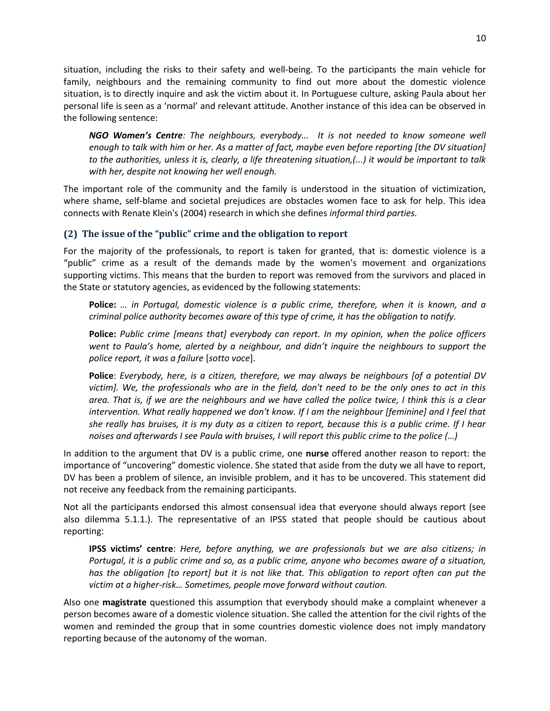situation, including the risks to their safety and well-being. To the participants the main vehicle for family, neighbours and the remaining community to find out more about the domestic violence situation, is to directly inquire and ask the victim about it. In Portuguese culture, asking Paula about her personal life is seen as a 'normal' and relevant attitude. Another instance of this idea can be observed in the following sentence:

*NGO Women's Centre: The neighbours, everybody... It is not needed to know someone well enough to talk with him or her. As a matter of fact, maybe even before reporting [the DV situation] to the authorities, unless it is, clearly, a life threatening situation,(...) it would be important to talk with her, despite not knowing her well enough.*

The important role of the community and the family is understood in the situation of victimization, where shame, self-blame and societal prejudices are obstacles women face to ask for help. This idea connects with Renate Klein's (2004) research in which she defines *informal third parties.*

## **(2) The issue of the "public" crime and the obligation to report**

For the majority of the professionals, to report is taken for granted, that is: domestic violence is a "public" crime as a result of the demands made by the women's movement and organizations supporting victims. This means that the burden to report was removed from the survivors and placed in the State or statutory agencies, as evidenced by the following statements:

**Police:** *… in Portugal, domestic violence is a public crime, therefore, when it is known, and a criminal police authority becomes aware of this type of crime, it has the obligation to notify.* 

**Police:** *Public crime [means that] everybody can report. In my opinion, when the police officers went to Paula's home, alerted by a neighbour, and didn't inquire the neighbours to support the police report, it was a failure* [*sotto voce*].

**Police**: *Everybody, here, is a citizen, therefore, we may always be neighbours [of a potential DV victim]. We, the professionals who are in the field, don't need to be the only ones to act in this area. That is, if we are the neighbours and we have called the police twice, I think this is a clear intervention. What really happened we don't know. If I am the neighbour [feminine] and I feel that she really has bruises, it is my duty as a citizen to report, because this is a public crime. If I hear noises and afterwards I see Paula with bruises, I will report this public crime to the police (…)*

In addition to the argument that DV is a public crime, one **nurse** offered another reason to report: the importance of "uncovering" domestic violence. She stated that aside from the duty we all have to report, DV has been a problem of silence, an invisible problem, and it has to be uncovered. This statement did not receive any feedback from the remaining participants.

Not all the participants endorsed this almost consensual idea that everyone should always report (see also dilemma 5.1.1.). The representative of an IPSS stated that people should be cautious about reporting:

**IPSS victims' centre**: *Here, before anything, we are professionals but we are also citizens; in Portugal, it is a public crime and so, as a public crime, anyone who becomes aware of a situation, has the obligation [to report] but it is not like that. This obligation to report often can put the victim at a higher-risk… Sometimes, people move forward without caution.*

Also one **magistrate** questioned this assumption that everybody should make a complaint whenever a person becomes aware of a domestic violence situation. She called the attention for the civil rights of the women and reminded the group that in some countries domestic violence does not imply mandatory reporting because of the autonomy of the woman.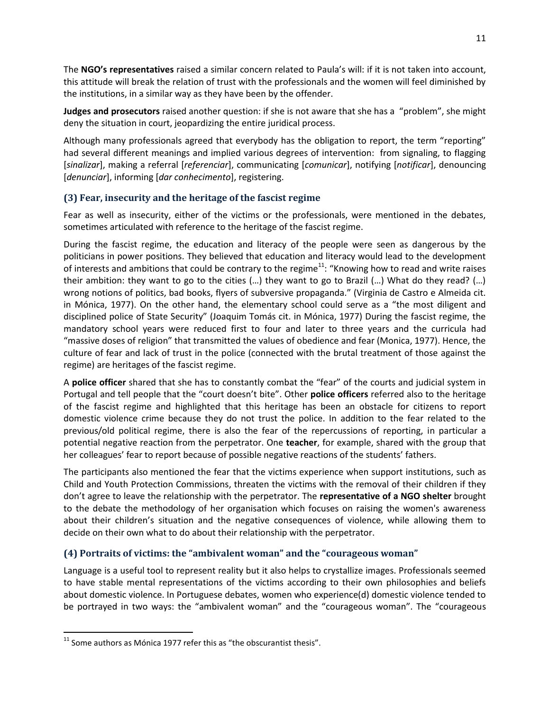The **NGO's representatives** raised a similar concern related to Paula's will: if it is not taken into account, this attitude will break the relation of trust with the professionals and the women will feel diminished by the institutions, in a similar way as they have been by the offender.

**Judges and prosecutors** raised another question: if she is not aware that she has a "problem", she might deny the situation in court, jeopardizing the entire juridical process.

Although many professionals agreed that everybody has the obligation to report, the term "reporting" had several different meanings and implied various degrees of intervention: from signaling, to flagging [*sinalizar*], making a referral [*referenciar*], communicating [*comunicar*], notifying [*notificar*], denouncing [*denunciar*], informing [*dar conhecimento*], registering.

## **(3) Fear, insecurity and the heritage of the fascist regime**

Fear as well as insecurity, either of the victims or the professionals, were mentioned in the debates, sometimes articulated with reference to the heritage of the fascist regime.

During the fascist regime, the education and literacy of the people were seen as dangerous by the politicians in power positions. They believed that education and literacy would lead to the development of interests and ambitions that could be contrary to the regime<sup>11</sup>: "Knowing how to read and write raises their ambition: they want to go to the cities (…) they want to go to Brazil (…) What do they read? (…) wrong notions of politics, bad books, flyers of subversive propaganda." (Virginia de Castro e Almeida cit. in Mónica, 1977). On the other hand, the elementary school could serve as a "the most diligent and disciplined police of State Security" (Joaquim Tomás cit. in Mónica, 1977) During the fascist regime, the mandatory school years were reduced first to four and later to three years and the curricula had "massive doses of religion" that transmitted the values of obedience and fear (Monica, 1977). Hence, the culture of fear and lack of trust in the police (connected with the brutal treatment of those against the regime) are heritages of the fascist regime.

A **police officer** shared that she has to constantly combat the "fear" of the courts and judicial system in Portugal and tell people that the "court doesn't bite". Other **police officers** referred also to the heritage of the fascist regime and highlighted that this heritage has been an obstacle for citizens to report domestic violence crime because they do not trust the police. In addition to the fear related to the previous/old political regime, there is also the fear of the repercussions of reporting, in particular a potential negative reaction from the perpetrator. One **teacher**, for example, shared with the group that her colleagues' fear to report because of possible negative reactions of the students' fathers.

The participants also mentioned the fear that the victims experience when support institutions, such as Child and Youth Protection Commissions, threaten the victims with the removal of their children if they don't agree to leave the relationship with the perpetrator. The **representative of a NGO shelter** brought to the debate the methodology of her organisation which focuses on raising the women's awareness about their children's situation and the negative consequences of violence, while allowing them to decide on their own what to do about their relationship with the perpetrator.

## **(4) Portraits of victims: the "ambivalent woman" and the "courageous woman"**

Language is a useful tool to represent reality but it also helps to crystallize images. Professionals seemed to have stable mental representations of the victims according to their own philosophies and beliefs about domestic violence. In Portuguese debates, women who experience(d) domestic violence tended to be portrayed in two ways: the "ambivalent woman" and the "courageous woman". The "courageous

 $\overline{a}$ 

 $11$  Some authors as Mónica 1977 refer this as "the obscurantist thesis".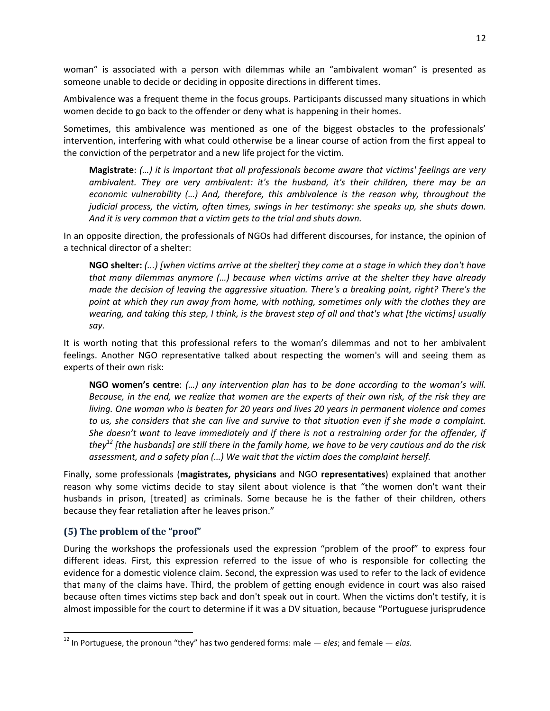woman" is associated with a person with dilemmas while an "ambivalent woman" is presented as someone unable to decide or deciding in opposite directions in different times.

Ambivalence was a frequent theme in the focus groups. Participants discussed many situations in which women decide to go back to the offender or deny what is happening in their homes.

Sometimes, this ambivalence was mentioned as one of the biggest obstacles to the professionals' intervention, interfering with what could otherwise be a linear course of action from the first appeal to the conviction of the perpetrator and a new life project for the victim.

**Magistrate**: *(…) it is important that all professionals become aware that victims' feelings are very ambivalent. They are very ambivalent: it's the husband, it's their children, there may be an economic vulnerability (…) And, therefore, this ambivalence is the reason why, throughout the judicial process, the victim, often times, swings in her testimony: she speaks up, she shuts down. And it is very common that a victim gets to the trial and shuts down.*

In an opposite direction, the professionals of NGOs had different discourses, for instance, the opinion of a technical director of a shelter:

**NGO shelter:** *(...) [when victims arrive at the shelter] they come at a stage in which they don't have that many dilemmas anymore (…) because when victims arrive at the shelter they have already made the decision of leaving the aggressive situation. There's a breaking point, right? There's the point at which they run away from home, with nothing, sometimes only with the clothes they are wearing, and taking this step, I think, is the bravest step of all and that's what [the victims] usually say.*

It is worth noting that this professional refers to the woman's dilemmas and not to her ambivalent feelings. Another NGO representative talked about respecting the women's will and seeing them as experts of their own risk:

**NGO women's centre**: *(…) any intervention plan has to be done according to the woman's will. Because, in the end, we realize that women are the experts of their own risk, of the risk they are living. One woman who is beaten for 20 years and lives 20 years in permanent violence and comes to us, she considers that she can live and survive to that situation even if she made a complaint. She doesn't want to leave immediately and if there is not a restraining order for the offender, if they<sup>12</sup> [the husbands] are still there in the family home, we have to be very cautious and do the risk assessment, and a safety plan (…) We wait that the victim does the complaint herself.*

Finally, some professionals (**magistrates, physicians** and NGO **representatives**) explained that another reason why some victims decide to stay silent about violence is that "the women don't want their husbands in prison, [treated] as criminals. Some because he is the father of their children, others because they fear retaliation after he leaves prison."

### **(5) The problem of the "proof"**

 $\overline{a}$ 

During the workshops the professionals used the expression "problem of the proof" to express four different ideas. First, this expression referred to the issue of who is responsible for collecting the evidence for a domestic violence claim. Second, the expression was used to refer to the lack of evidence that many of the claims have. Third, the problem of getting enough evidence in court was also raised because often times victims step back and don't speak out in court. When the victims don't testify, it is almost impossible for the court to determine if it was a DV situation, because "Portuguese jurisprudence

<sup>12</sup> In Portuguese, the pronoun "they" has two gendered forms: male — *eles*; and female — *elas.*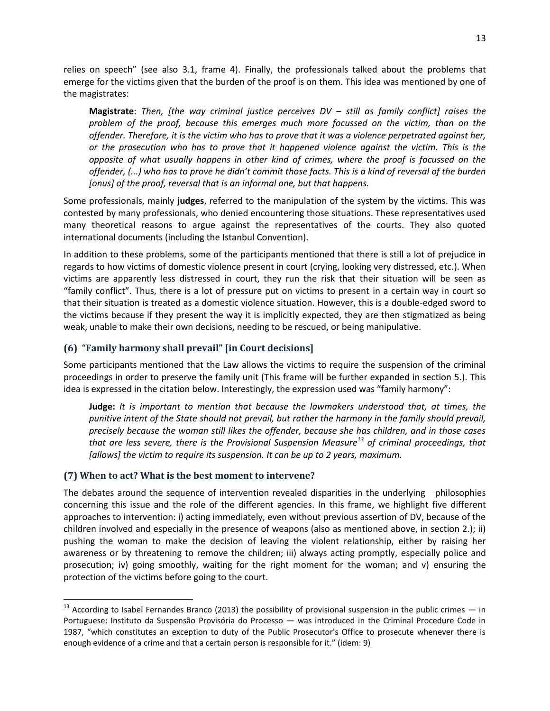relies on speech" (see also 3.1, frame 4). Finally, the professionals talked about the problems that emerge for the victims given that the burden of the proof is on them. This idea was mentioned by one of the magistrates:

**Magistrate**: *Then, [the way criminal justice perceives DV – still as family conflict] raises the problem of the proof, because this emerges much more focussed on the victim, than on the offender. Therefore, it is the victim who has to prove that it was a violence perpetrated against her, or the prosecution who has to prove that it happened violence against the victim. This is the opposite of what usually happens in other kind of crimes, where the proof is focussed on the offender, (...) who has to prove he didn't commit those facts. This is a kind of reversal of the burden [onus] of the proof, reversal that is an informal one, but that happens.*

Some professionals, mainly **judges**, referred to the manipulation of the system by the victims. This was contested by many professionals, who denied encountering those situations. These representatives used many theoretical reasons to argue against the representatives of the courts. They also quoted international documents (including the Istanbul Convention).

In addition to these problems, some of the participants mentioned that there is still a lot of prejudice in regards to how victims of domestic violence present in court (crying, looking very distressed, etc.). When victims are apparently less distressed in court, they run the risk that their situation will be seen as "family conflict". Thus, there is a lot of pressure put on victims to present in a certain way in court so that their situation is treated as a domestic violence situation. However, this is a double-edged sword to the victims because if they present the way it is implicitly expected, they are then stigmatized as being weak, unable to make their own decisions, needing to be rescued, or being manipulative.

## **(6) "Family harmony shall prevail" [in Court decisions]**

Some participants mentioned that the Law allows the victims to require the suspension of the criminal proceedings in order to preserve the family unit (This frame will be further expanded in section 5.). This idea is expressed in the citation below. Interestingly, the expression used was "family harmony":

**Judge:** *It is important to mention that because the lawmakers understood that, at times, the punitive intent of the State should not prevail, but rather the harmony in the family should prevail, precisely because the woman still likes the offender, because she has children, and in those cases that are less severe, there is the Provisional Suspension Measure<sup>13</sup> of criminal proceedings, that [allows] the victim to require its suspension. It can be up to 2 years, maximum.*

## **(7) When to act? What is the best moment to intervene?**

 $\ddot{\phantom{a}}$ 

The debates around the sequence of intervention revealed disparities in the underlying philosophies concerning this issue and the role of the different agencies. In this frame, we highlight five different approaches to intervention: i) acting immediately, even without previous assertion of DV, because of the children involved and especially in the presence of weapons (also as mentioned above, in section 2.); ii) pushing the woman to make the decision of leaving the violent relationship, either by raising her awareness or by threatening to remove the children; iii) always acting promptly, especially police and prosecution; iv) going smoothly, waiting for the right moment for the woman; and v) ensuring the protection of the victims before going to the court.

 $13$  According to Isabel Fernandes Branco (2013) the possibility of provisional suspension in the public crimes  $-$  in Portuguese: Instituto da Suspensão Provisória do Processo — was introduced in the Criminal Procedure Code in 1987, "which constitutes an exception to duty of the Public Prosecutor's Office to prosecute whenever there is enough evidence of a crime and that a certain person is responsible for it." (idem: 9)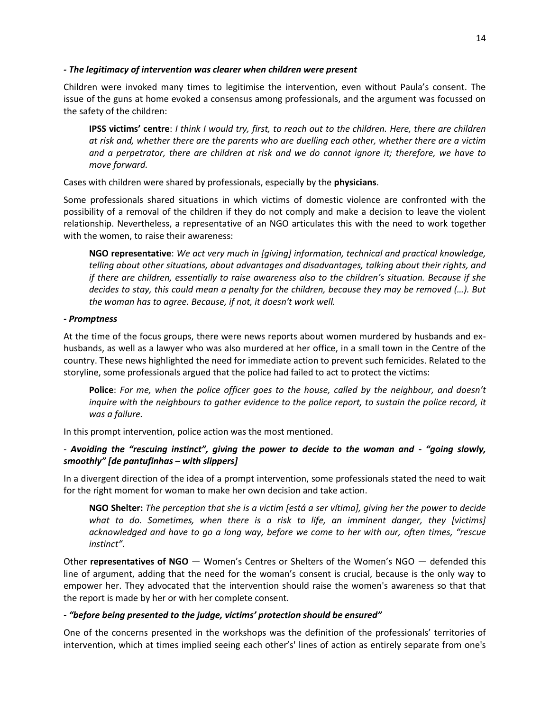#### *- The legitimacy of intervention was clearer when children were present*

Children were invoked many times to legitimise the intervention, even without Paula's consent. The issue of the guns at home evoked a consensus among professionals, and the argument was focussed on the safety of the children:

**IPSS victims' centre**: *I think I would try, first, to reach out to the children. Here, there are children at risk and, whether there are the parents who are duelling each other, whether there are a victim and a perpetrator, there are children at risk and we do cannot ignore it; therefore, we have to move forward.*

Cases with children were shared by professionals, especially by the **physicians**.

Some professionals shared situations in which victims of domestic violence are confronted with the possibility of a removal of the children if they do not comply and make a decision to leave the violent relationship. Nevertheless, a representative of an NGO articulates this with the need to work together with the women, to raise their awareness:

**NGO representative**: *We act very much in [giving] information, technical and practical knowledge, telling about other situations, about advantages and disadvantages, talking about their rights, and if there are children, essentially to raise awareness also to the children's situation. Because if she decides to stay, this could mean a penalty for the children, because they may be removed (…). But the woman has to agree. Because, if not, it doesn't work well.*

### *- Promptness*

At the time of the focus groups, there were news reports about women murdered by husbands and exhusbands, as well as a lawyer who was also murdered at her office, in a small town in the Centre of the country. These news highlighted the need for immediate action to prevent such femicides. Related to the storyline, some professionals argued that the police had failed to act to protect the victims:

**Police**: *For me, when the police officer goes to the house, called by the neighbour, and doesn't inquire with the neighbours to gather evidence to the police report, to sustain the police record, it was a failure.*

In this prompt intervention, police action was the most mentioned.

## *-* Avoiding the "rescuing instinct", giving the power to decide to the woman and - "going slowly, *smoothly" [de pantufinhas – with slippers]*

In a divergent direction of the idea of a prompt intervention, some professionals stated the need to wait for the right moment for woman to make her own decision and take action.

**NGO Shelter:** *The perception that she is a victim [está a ser vítima], giving her the power to decide*  what to do. Sometimes, when there is a risk to life, an imminent danger, they [victims] *acknowledged and have to go a long way, before we come to her with our, often times, "rescue instinct".*

Other **representatives of NGO** — Women's Centres or Shelters of the Women's NGO — defended this line of argument, adding that the need for the woman's consent is crucial, because is the only way to empower her. They advocated that the intervention should raise the women's awareness so that that the report is made by her or with her complete consent.

### *- "before being presented to the judge, victims' protection should be ensured"*

One of the concerns presented in the workshops was the definition of the professionals' territories of intervention, which at times implied seeing each other's' lines of action as entirely separate from one's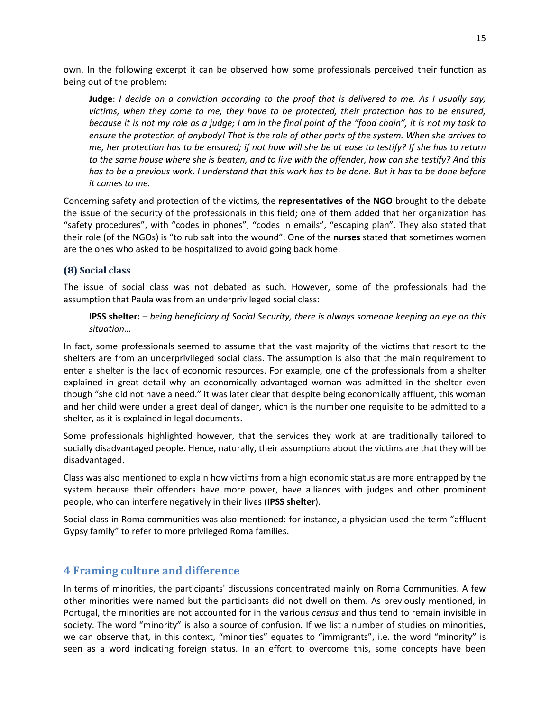own. In the following excerpt it can be observed how some professionals perceived their function as being out of the problem:

**Judge**: *I decide on a conviction according to the proof that is delivered to me. As I usually say, victims, when they come to me, they have to be protected, their protection has to be ensured, because it is not my role as a judge; I am in the final point of the "food chain", it is not my task to ensure the protection of anybody! That is the role of other parts of the system. When she arrives to me, her protection has to be ensured; if not how will she be at ease to testify? If she has to return to the same house where she is beaten, and to live with the offender, how can she testify? And this has to be a previous work. I understand that this work has to be done. But it has to be done before it comes to me.*

Concerning safety and protection of the victims, the **representatives of the NGO** brought to the debate the issue of the security of the professionals in this field; one of them added that her organization has "safety procedures", with "codes in phones", "codes in emails", "escaping plan". They also stated that their role (of the NGOs) is "to rub salt into the wound". One of the **nurses** stated that sometimes women are the ones who asked to be hospitalized to avoid going back home.

## **(8) Social class**

The issue of social class was not debated as such. However, some of the professionals had the assumption that Paula was from an underprivileged social class:

**IPSS shelter:** *– being beneficiary of Social Security, there is always someone keeping an eye on this situation…*

In fact, some professionals seemed to assume that the vast majority of the victims that resort to the shelters are from an underprivileged social class. The assumption is also that the main requirement to enter a shelter is the lack of economic resources. For example, one of the professionals from a shelter explained in great detail why an economically advantaged woman was admitted in the shelter even though "she did not have a need." It was later clear that despite being economically affluent, this woman and her child were under a great deal of danger, which is the number one requisite to be admitted to a shelter, as it is explained in legal documents.

Some professionals highlighted however, that the services they work at are traditionally tailored to socially disadvantaged people. Hence, naturally, their assumptions about the victims are that they will be disadvantaged.

Class was also mentioned to explain how victims from a high economic status are more entrapped by the system because their offenders have more power, have alliances with judges and other prominent people, who can interfere negatively in their lives (**IPSS shelter**).

Social class in Roma communities was also mentioned: for instance, a physician used the term "affluent Gypsy family" to refer to more privileged Roma families.

## **4 Framing culture and difference**

In terms of minorities, the participants' discussions concentrated mainly on Roma Communities. A few other minorities were named but the participants did not dwell on them. As previously mentioned, in Portugal, the minorities are not accounted for in the various *census* and thus tend to remain invisible in society. The word "minority" is also a source of confusion. If we list a number of studies on minorities, we can observe that, in this context, "minorities" equates to "immigrants", i.e. the word "minority" is seen as a word indicating foreign status. In an effort to overcome this, some concepts have been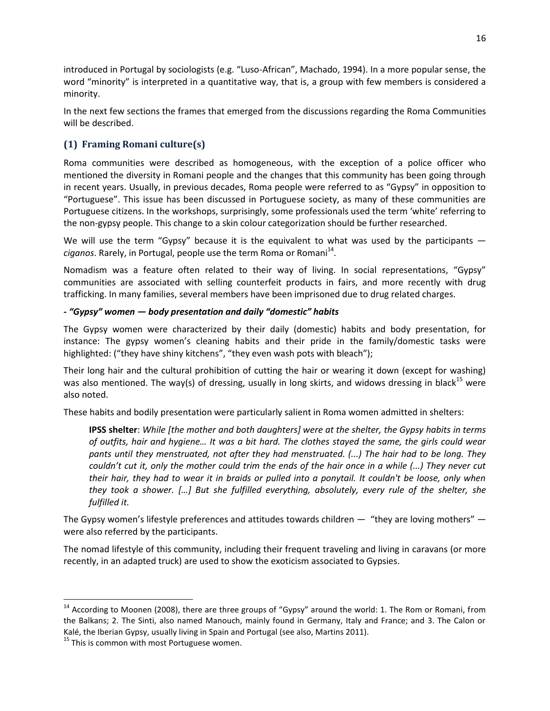introduced in Portugal by sociologists (e.g. "Luso-African", Machado, 1994). In a more popular sense, the word "minority" is interpreted in a quantitative way, that is, a group with few members is considered a minority.

In the next few sections the frames that emerged from the discussions regarding the Roma Communities will be described.

## **(1) Framing Romani culture(s)**

Roma communities were described as homogeneous, with the exception of a police officer who mentioned the diversity in Romani people and the changes that this community has been going through in recent years. Usually, in previous decades, Roma people were referred to as "Gypsy" in opposition to "Portuguese". This issue has been discussed in Portuguese society, as many of these communities are Portuguese citizens. In the workshops, surprisingly, some professionals used the term 'white' referring to the non-gypsy people. This change to a skin colour categorization should be further researched.

We will use the term "Gypsy" because it is the equivalent to what was used by the participants ciganos. Rarely, in Portugal, people use the term Roma or Romani<sup>14</sup>.

Nomadism was a feature often related to their way of living. In social representations, "Gypsy" communities are associated with selling counterfeit products in fairs, and more recently with drug trafficking. In many families, several members have been imprisoned due to drug related charges.

## *- "Gypsy" women — body presentation and daily "domestic" habits*

The Gypsy women were characterized by their daily (domestic) habits and body presentation, for instance: The gypsy women's cleaning habits and their pride in the family/domestic tasks were highlighted: ("they have shiny kitchens", "they even wash pots with bleach");

Their long hair and the cultural prohibition of cutting the hair or wearing it down (except for washing) was also mentioned. The way(s) of dressing, usually in long skirts, and widows dressing in black<sup>15</sup> were also noted.

These habits and bodily presentation were particularly salient in Roma women admitted in shelters:

**IPSS shelter**: *While [the mother and both daughters] were at the shelter, the Gypsy habits in terms of outfits, hair and hygiene… It was a bit hard. The clothes stayed the same, the girls could wear pants until they menstruated, not after they had menstruated. (...) The hair had to be long. They couldn't cut it, only the mother could trim the ends of the hair once in a while (...) They never cut their hair, they had to wear it in braids or pulled into a ponytail. It couldn't be loose, only when they took a shower. […] But she fulfilled everything, absolutely, every rule of the shelter, she fulfilled it.*

The Gypsy women's lifestyle preferences and attitudes towards children — "they are loving mothers" were also referred by the participants.

The nomad lifestyle of this community, including their frequent traveling and living in caravans (or more recently, in an adapted truck) are used to show the exoticism associated to Gypsies.

 $\ddot{\phantom{a}}$ 

 $14$  According to Moonen (2008), there are three groups of "Gypsy" around the world: 1. The Rom or Romani, from the Balkans; 2. The Sinti, also named Manouch, mainly found in Germany, Italy and France; and 3. The Calon or Kalé, the Iberian Gypsy, usually living in Spain and Portugal (see also, Martins 2011).

<sup>&</sup>lt;sup>15</sup> This is common with most Portuguese women.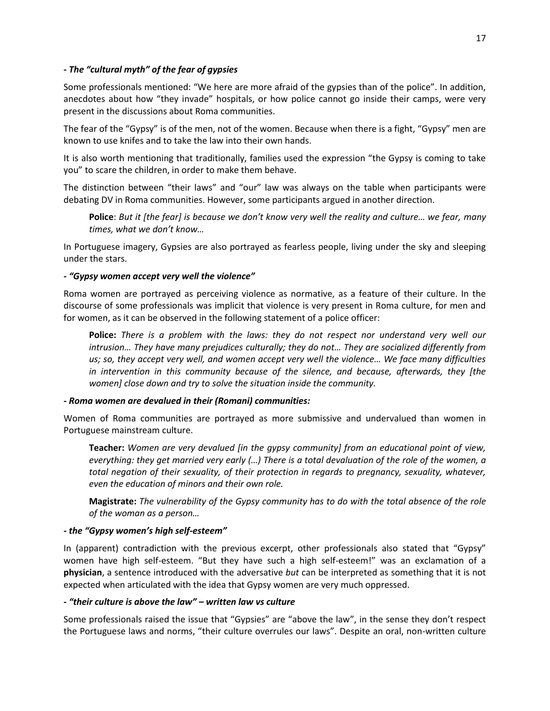### *- The "cultural myth" of the fear of gypsies*

Some professionals mentioned: "We here are more afraid of the gypsies than of the police". In addition, anecdotes about how "they invade" hospitals, or how police cannot go inside their camps, were very present in the discussions about Roma communities.

The fear of the "Gypsy" is of the men, not of the women. Because when there is a fight, "Gypsy" men are known to use knifes and to take the law into their own hands.

It is also worth mentioning that traditionally, families used the expression "the Gypsy is coming to take you" to scare the children, in order to make them behave.

The distinction between "their laws" and "our" law was always on the table when participants were debating DV in Roma communities. However, some participants argued in another direction.

**Police**: *But it [the fear] is because we don't know very well the reality and culture… we fear, many times, what we don't know…*

In Portuguese imagery, Gypsies are also portrayed as fearless people, living under the sky and sleeping under the stars.

#### *- "Gypsy women accept very well the violence"*

Roma women are portrayed as perceiving violence as normative, as a feature of their culture. In the discourse of some professionals was implicit that violence is very present in Roma culture, for men and for women, as it can be observed in the following statement of a police officer:

**Police:** *There is a problem with the laws: they do not respect nor understand very well our intrusion… They have many prejudices culturally; they do not… They are socialized differently from us; so, they accept very well, and women accept very well the violence… We face many difficulties in intervention in this community because of the silence, and because, afterwards, they [the women] close down and try to solve the situation inside the community.*

#### *- Roma women are devalued in their (Romani) communities:*

Women of Roma communities are portrayed as more submissive and undervalued than women in Portuguese mainstream culture.

**Teacher:** *Women are very devalued [in the gypsy community] from an educational point of view, everything: they get married very early (…) There is a total devaluation of the role of the women, a total negation of their sexuality, of their protection in regards to pregnancy, sexuality, whatever, even the education of minors and their own role.*

**Magistrate:** *The vulnerability of the Gypsy community has to do with the total absence of the role of the woman as a person…*

#### *- the "Gypsy women's high self-esteem"*

In (apparent) contradiction with the previous excerpt, other professionals also stated that "Gypsy" women have high self-esteem. "But they have such a high self-esteem!" was an exclamation of a **physician**, a sentence introduced with the adversative *but* can be interpreted as something that it is not expected when articulated with the idea that Gypsy women are very much oppressed.

#### *- "their culture is above the law" – written law vs culture*

Some professionals raised the issue that "Gypsies" are "above the law", in the sense they don't respect the Portuguese laws and norms, "their culture overrules our laws". Despite an oral, non-written culture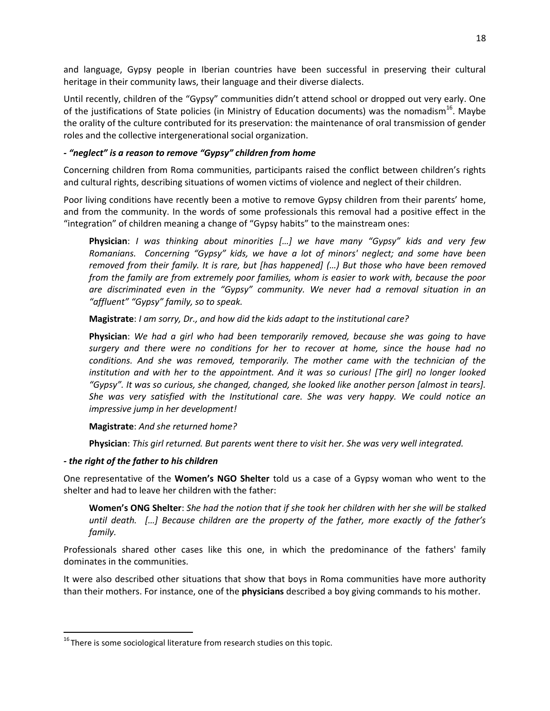and language, Gypsy people in Iberian countries have been successful in preserving their cultural heritage in their community laws, their language and their diverse dialects.

Until recently, children of the "Gypsy" communities didn't attend school or dropped out very early. One of the justifications of State policies (in Ministry of Education documents) was the nomadism<sup>16</sup>. Maybe the orality of the culture contributed for its preservation: the maintenance of oral transmission of gender roles and the collective intergenerational social organization.

### *- "neglect" is a reason to remove "Gypsy" children from home*

Concerning children from Roma communities, participants raised the conflict between children's rights and cultural rights, describing situations of women victims of violence and neglect of their children.

Poor living conditions have recently been a motive to remove Gypsy children from their parents' home, and from the community. In the words of some professionals this removal had a positive effect in the "integration" of children meaning a change of "Gypsy habits" to the mainstream ones:

**Physician**: *I was thinking about minorities […] we have many "Gypsy" kids and very few Romanians. Concerning "Gypsy" kids, we have a lot of minors' neglect; and some have been removed from their family. It is rare, but [has happened] (…) But those who have been removed from the family are from extremely poor families, whom is easier to work with, because the poor are discriminated even in the "Gypsy" community. We never had a removal situation in an "affluent" "Gypsy" family, so to speak.*

**Magistrate**: *I am sorry, Dr., and how did the kids adapt to the institutional care?*

**Physician**: *We had a girl who had been temporarily removed, because she was going to have surgery and there were no conditions for her to recover at home, since the house had no conditions. And she was removed, temporarily. The mother came with the technician of the institution and with her to the appointment. And it was so curious! [The girl] no longer looked "Gypsy". It was so curious, she changed, changed, she looked like another person [almost in tears]. She was very satisfied with the Institutional care. She was very happy. We could notice an impressive jump in her development!*

**Magistrate**: *And she returned home?*

**Physician**: *This girl returned. But parents went there to visit her. She was very well integrated.*

### *- the right of the father to his children*

 $\overline{a}$ 

One representative of the **Women's NGO Shelter** told us a case of a Gypsy woman who went to the shelter and had to leave her children with the father:

**Women's ONG Shelter**: *She had the notion that if she took her children with her she will be stalked until death. […] Because children are the property of the father, more exactly of the father's family.* 

Professionals shared other cases like this one, in which the predominance of the fathers' family dominates in the communities.

It were also described other situations that show that boys in Roma communities have more authority than their mothers. For instance, one of the **physicians** described a boy giving commands to his mother.

 $16$  There is some sociological literature from research studies on this topic.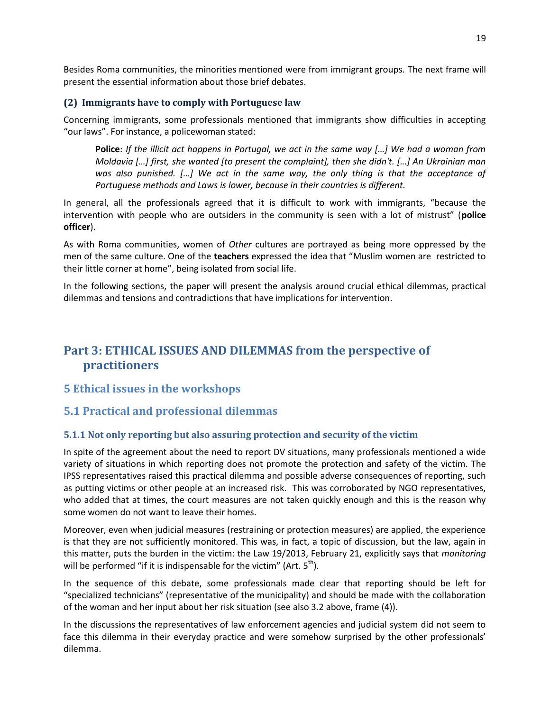Besides Roma communities, the minorities mentioned were from immigrant groups. The next frame will present the essential information about those brief debates.

### **(2) Immigrants have to comply with Portuguese law**

Concerning immigrants, some professionals mentioned that immigrants show difficulties in accepting "our laws". For instance, a policewoman stated:

**Police**: *If the illicit act happens in Portugal, we act in the same way […] We had a woman from Moldavia […] first, she wanted [to present the complaint], then she didn't. […] An Ukrainian man was also punished. […] We act in the same way, the only thing is that the acceptance of Portuguese methods and Laws is lower, because in their countries is different.*

In general, all the professionals agreed that it is difficult to work with immigrants, "because the intervention with people who are outsiders in the community is seen with a lot of mistrust" (**police officer**).

As with Roma communities, women of *Other* cultures are portrayed as being more oppressed by the men of the same culture. One of the **teachers** expressed the idea that "Muslim women are restricted to their little corner at home", being isolated from social life.

In the following sections, the paper will present the analysis around crucial ethical dilemmas, practical dilemmas and tensions and contradictions that have implications for intervention.

# **Part 3: ETHICAL ISSUES AND DILEMMAS from the perspective of practitioners**

## **5 Ethical issues in the workshops**

## **5.1 Practical and professional dilemmas**

## **5.1.1 Not only reporting but also assuring protection and security of the victim**

In spite of the agreement about the need to report DV situations, many professionals mentioned a wide variety of situations in which reporting does not promote the protection and safety of the victim. The IPSS representatives raised this practical dilemma and possible adverse consequences of reporting, such as putting victims or other people at an increased risk. This was corroborated by NGO representatives, who added that at times, the court measures are not taken quickly enough and this is the reason why some women do not want to leave their homes.

Moreover, even when judicial measures (restraining or protection measures) are applied, the experience is that they are not sufficiently monitored. This was, in fact, a topic of discussion, but the law, again in this matter, puts the burden in the victim: the Law 19/2013, February 21, explicitly says that *monitoring* will be performed "if it is indispensable for the victim" (Art.  $5<sup>th</sup>$ ).

In the sequence of this debate, some professionals made clear that reporting should be left for "specialized technicians" (representative of the municipality) and should be made with the collaboration of the woman and her input about her risk situation (see also 3.2 above, frame (4)).

In the discussions the representatives of law enforcement agencies and judicial system did not seem to face this dilemma in their everyday practice and were somehow surprised by the other professionals' dilemma.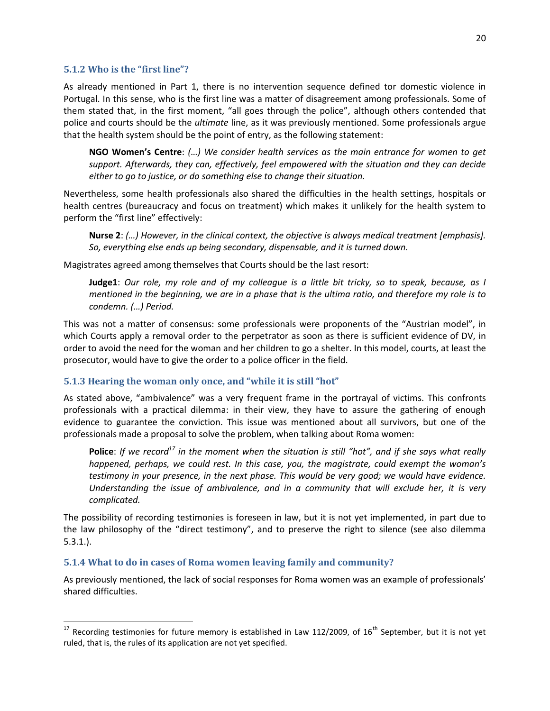#### **5.1.2 Who is the "first line"?**

 $\ddot{\phantom{a}}$ 

As already mentioned in Part 1, there is no intervention sequence defined tor domestic violence in Portugal. In this sense, who is the first line was a matter of disagreement among professionals. Some of them stated that, in the first moment, "all goes through the police", although others contended that police and courts should be the *ultimate* line, as it was previously mentioned. Some professionals argue that the health system should be the point of entry, as the following statement:

**NGO Women's Centre**: *(…) We consider health services as the main entrance for women to get support. Afterwards, they can, effectively, feel empowered with the situation and they can decide either to go to justice, or do something else to change their situation.*

Nevertheless, some health professionals also shared the difficulties in the health settings, hospitals or health centres (bureaucracy and focus on treatment) which makes it unlikely for the health system to perform the "first line" effectively:

**Nurse 2**: *(…) However, in the clinical context, the objective is always medical treatment [emphasis]. So, everything else ends up being secondary, dispensable, and it is turned down.*

Magistrates agreed among themselves that Courts should be the last resort:

**Judge1**: *Our role, my role and of my colleague is a little bit tricky, so to speak, because, as I mentioned in the beginning, we are in a phase that is the ultima ratio, and therefore my role is to condemn. (…) Period.*

This was not a matter of consensus: some professionals were proponents of the "Austrian model", in which Courts apply a removal order to the perpetrator as soon as there is sufficient evidence of DV, in order to avoid the need for the woman and her children to go a shelter. In this model, courts, at least the prosecutor, would have to give the order to a police officer in the field.

### **5.1.3 Hearing the woman only once, and "while it is still "hot"**

As stated above, "ambivalence" was a very frequent frame in the portrayal of victims. This confronts professionals with a practical dilemma: in their view, they have to assure the gathering of enough evidence to guarantee the conviction. This issue was mentioned about all survivors, but one of the professionals made a proposal to solve the problem, when talking about Roma women:

**Police**: *If we record<sup>17</sup> in the moment when the situation is still "hot", and if she says what really happened, perhaps, we could rest. In this case, you, the magistrate, could exempt the woman's testimony in your presence, in the next phase. This would be very good; we would have evidence. Understanding the issue of ambivalence, and in a community that will exclude her, it is very complicated.*

The possibility of recording testimonies is foreseen in law, but it is not yet implemented, in part due to the law philosophy of the "direct testimony", and to preserve the right to silence (see also dilemma 5.3.1.).

#### **5.1.4 What to do in cases of Roma women leaving family and community?**

As previously mentioned, the lack of social responses for Roma women was an example of professionals' shared difficulties.

<sup>&</sup>lt;sup>17</sup> Recording testimonies for future memory is established in Law 112/2009, of 16<sup>th</sup> September, but it is not yet ruled, that is, the rules of its application are not yet specified.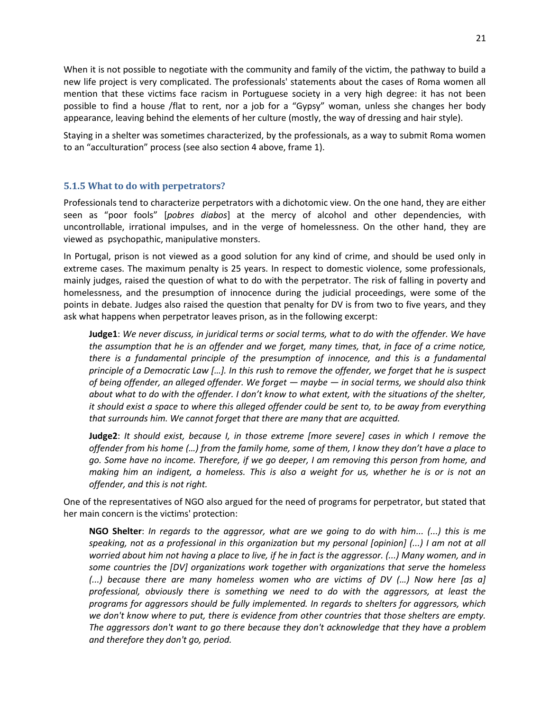When it is not possible to negotiate with the community and family of the victim, the pathway to build a new life project is very complicated. The professionals' statements about the cases of Roma women all mention that these victims face racism in Portuguese society in a very high degree: it has not been possible to find a house /flat to rent, nor a job for a "Gypsy" woman, unless she changes her body appearance, leaving behind the elements of her culture (mostly, the way of dressing and hair style).

Staying in a shelter was sometimes characterized, by the professionals, as a way to submit Roma women to an "acculturation" process (see also section 4 above, frame 1).

### **5.1.5 What to do with perpetrators?**

Professionals tend to characterize perpetrators with a dichotomic view. On the one hand, they are either seen as "poor fools" [*pobres diabos*] at the mercy of alcohol and other dependencies, with uncontrollable, irrational impulses, and in the verge of homelessness. On the other hand, they are viewed as psychopathic, manipulative monsters.

In Portugal, prison is not viewed as a good solution for any kind of crime, and should be used only in extreme cases. The maximum penalty is 25 years. In respect to domestic violence, some professionals, mainly judges, raised the question of what to do with the perpetrator. The risk of falling in poverty and homelessness, and the presumption of innocence during the judicial proceedings, were some of the points in debate. Judges also raised the question that penalty for DV is from two to five years, and they ask what happens when perpetrator leaves prison, as in the following excerpt:

**Judge1**: *We never discuss, in juridical terms or social terms, what to do with the offender. We have the assumption that he is an offender and we forget, many times, that, in face of a crime notice, there is a fundamental principle of the presumption of innocence, and this is a fundamental principle of a Democratic Law [...]. In this rush to remove the offender, we forget that he is suspect of being offender, an alleged offender. We forget — maybe — in social terms, we should also think about what to do with the offender. I don't know to what extent, with the situations of the shelter, it should exist a space to where this alleged offender could be sent to, to be away from everything that surrounds him. We cannot forget that there are many that are acquitted.*

**Judge2**: *It should exist, because I, in those extreme [more severe] cases in which I remove the offender from his home (…) from the family home, some of them, I know they don't have a place to go. Some have no income. Therefore, if we go deeper, I am removing this person from home, and making him an indigent, a homeless. This is also a weight for us, whether he is or is not an offender, and this is not right.*

One of the representatives of NGO also argued for the need of programs for perpetrator, but stated that her main concern is the victims' protection:

**NGO Shelter**: *In regards to the aggressor, what are we going to do with him... (...) this is me speaking, not as a professional in this organization but my personal [opinion] (...) I am not at all worried about him not having a place to live, if he in fact is the aggressor. (...) Many women, and in some countries the [DV] organizations work together with organizations that serve the homeless (...) because there are many homeless women who are victims of DV (…) Now here [as a] professional, obviously there is something we need to do with the aggressors, at least the programs for aggressors should be fully implemented. In regards to shelters for aggressors, which we don't know where to put, there is evidence from other countries that those shelters are empty. The aggressors don't want to go there because they don't acknowledge that they have a problem and therefore they don't go, period.*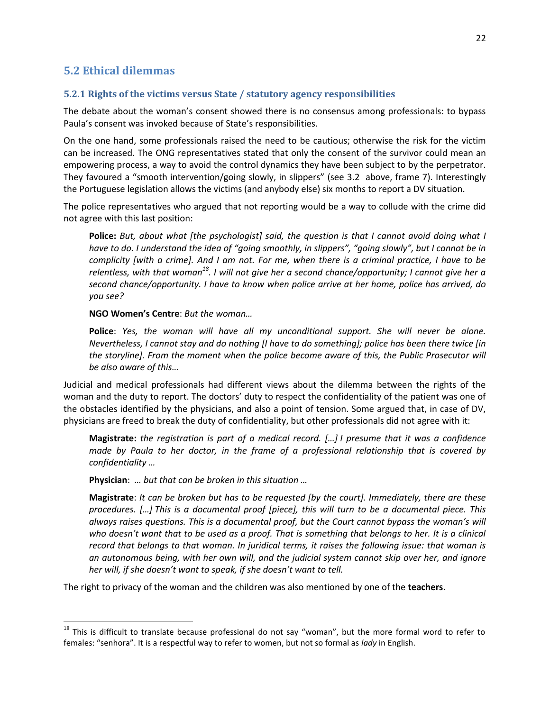## **5.2 Ethical dilemmas**

#### **5.2.1 Rights of the victims versus State / statutory agency responsibilities**

The debate about the woman's consent showed there is no consensus among professionals: to bypass Paula's consent was invoked because of State's responsibilities.

On the one hand, some professionals raised the need to be cautious; otherwise the risk for the victim can be increased. The ONG representatives stated that only the consent of the survivor could mean an empowering process, a way to avoid the control dynamics they have been subject to by the perpetrator. They favoured a "smooth intervention/going slowly, in slippers" (see 3.2 above, frame 7). Interestingly the Portuguese legislation allows the victims (and anybody else) six months to report a DV situation.

The police representatives who argued that not reporting would be a way to collude with the crime did not agree with this last position:

**Police:** *But, about what [the psychologist] said, the question is that I cannot avoid doing what I have to do. I understand the idea of "going smoothly, in slippers", "going slowly", but I cannot be in complicity [with a crime]. And I am not. For me, when there is a criminal practice, I have to be relentless, with that woman<sup>18</sup>. I will not give her a second chance/opportunity; I cannot give her a second chance/opportunity. I have to know when police arrive at her home, police has arrived, do you see?* 

**NGO Women's Centre**: *But the woman…*

**Police**: *Yes, the woman will have all my unconditional support. She will never be alone. Nevertheless, I cannot stay and do nothing [I have to do something]; police has been there twice [in the storyline]. From the moment when the police become aware of this, the Public Prosecutor will be also aware of this…*

Judicial and medical professionals had different views about the dilemma between the rights of the woman and the duty to report. The doctors' duty to respect the confidentiality of the patient was one of the obstacles identified by the physicians, and also a point of tension. Some argued that, in case of DV, physicians are freed to break the duty of confidentiality, but other professionals did not agree with it:

**Magistrate:** *the registration is part of a medical record. […] I presume that it was a confidence made by Paula to her doctor, in the frame of a professional relationship that is covered by confidentiality …*

**Physician**: *… but that can be broken in this situation …*

 $\ddot{\phantom{a}}$ 

**Magistrate**: *It can be broken but has to be requested [by the court]. Immediately, there are these procedures. […] This is a documental proof [piece], this will turn to be a documental piece. This always raises questions. This is a documental proof, but the Court cannot bypass the woman's will who doesn't want that to be used as a proof. That is something that belongs to her. It is a clinical record that belongs to that woman. In juridical terms, it raises the following issue: that woman is an autonomous being, with her own will, and the judicial system cannot skip over her, and ignore her will, if she doesn't want to speak, if she doesn't want to tell.*

The right to privacy of the woman and the children was also mentioned by one of the **teachers**.

 $18$  This is difficult to translate because professional do not say "woman", but the more formal word to refer to females: "senhora". It is a respectful way to refer to women, but not so formal as *lady* in English.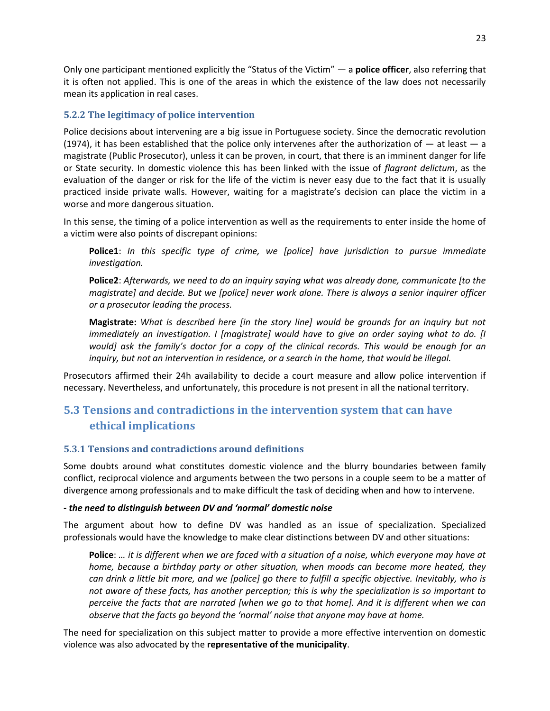Only one participant mentioned explicitly the "Status of the Victim" — a **police officer**, also referring that it is often not applied. This is one of the areas in which the existence of the law does not necessarily mean its application in real cases.

## **5.2.2 The legitimacy of police intervention**

Police decisions about intervening are a big issue in Portuguese society. Since the democratic revolution (1974), it has been established that the police only intervenes after the authorization of  $-$  at least  $-$  a magistrate (Public Prosecutor), unless it can be proven, in court, that there is an imminent danger for life or State security. In domestic violence this has been linked with the issue of *flagrant delictum*, as the evaluation of the danger or risk for the life of the victim is never easy due to the fact that it is usually practiced inside private walls. However, waiting for a magistrate's decision can place the victim in a worse and more dangerous situation.

In this sense, the timing of a police intervention as well as the requirements to enter inside the home of a victim were also points of discrepant opinions:

**Police1**: *In this specific type of crime, we [police] have jurisdiction to pursue immediate investigation.*

**Police2**: *Afterwards, we need to do an inquiry saying what was already done, communicate [to the magistrate] and decide. But we [police] never work alone. There is always a senior inquirer officer or a prosecutor leading the process.*

**Magistrate:** *What is described here [in the story line] would be grounds for an inquiry but not immediately an investigation. I [magistrate] would have to give an order saying what to do. [I would] ask the family's doctor for a copy of the clinical records. This would be enough for an inquiry, but not an intervention in residence, or a search in the home, that would be illegal.*

Prosecutors affirmed their 24h availability to decide a court measure and allow police intervention if necessary. Nevertheless, and unfortunately, this procedure is not present in all the national territory.

# **5.3 Tensions and contradictions in the intervention system that can have ethical implications**

## **5.3.1 Tensions and contradictions around definitions**

Some doubts around what constitutes domestic violence and the blurry boundaries between family conflict, reciprocal violence and arguments between the two persons in a couple seem to be a matter of divergence among professionals and to make difficult the task of deciding when and how to intervene.

### **-** *the need to distinguish between DV and 'normal' domestic noise*

The argument about how to define DV was handled as an issue of specialization. Specialized professionals would have the knowledge to make clear distinctions between DV and other situations:

**Police**: *… it is different when we are faced with a situation of a noise, which everyone may have at home, because a birthday party or other situation, when moods can become more heated, they can drink a little bit more, and we [police] go there to fulfill a specific objective. Inevitably, who is not aware of these facts, has another perception; this is why the specialization is so important to perceive the facts that are narrated [when we go to that home]. And it is different when we can observe that the facts go beyond the 'normal' noise that anyone may have at home.*

The need for specialization on this subject matter to provide a more effective intervention on domestic violence was also advocated by the **representative of the municipality**.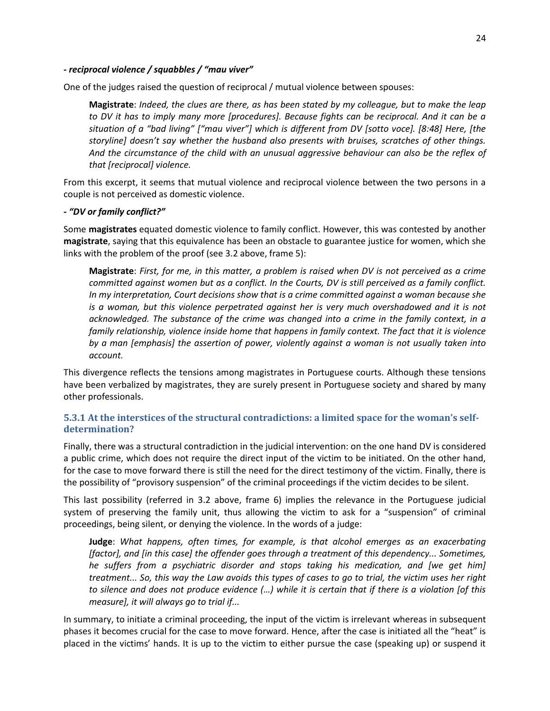#### *- reciprocal violence / squabbles / "mau viver"*

One of the judges raised the question of reciprocal / mutual violence between spouses:

**Magistrate**: *Indeed, the clues are there, as has been stated by my colleague, but to make the leap to DV it has to imply many more [procedures]. Because fights can be reciprocal. And it can be a situation of a "bad living" ["mau viver"] which is different from DV [sotto voce]. [8:48] Here, [the storyline] doesn't say whether the husband also presents with bruises, scratches of other things. And the circumstance of the child with an unusual aggressive behaviour can also be the reflex of that [reciprocal] violence.*

From this excerpt, it seems that mutual violence and reciprocal violence between the two persons in a couple is not perceived as domestic violence.

#### *- "DV or family conflict?"*

Some **magistrates** equated domestic violence to family conflict. However, this was contested by another **magistrate**, saying that this equivalence has been an obstacle to guarantee justice for women, which she links with the problem of the proof (see 3.2 above, frame 5):

**Magistrate**: *First, for me, in this matter, a problem is raised when DV is not perceived as a crime committed against women but as a conflict. In the Courts, DV is still perceived as a family conflict. In my interpretation, Court decisions show that is a crime committed against a woman because she is a woman, but this violence perpetrated against her is very much overshadowed and it is not acknowledged. The substance of the crime was changed into a crime in the family context, in a family relationship, violence inside home that happens in family context. The fact that it is violence by a man [emphasis] the assertion of power, violently against a woman is not usually taken into account.*

This divergence reflects the tensions among magistrates in Portuguese courts. Although these tensions have been verbalized by magistrates, they are surely present in Portuguese society and shared by many other professionals.

### **5.3.1 At the interstices of the structural contradictions: a limited space for the woman's selfdetermination?**

Finally, there was a structural contradiction in the judicial intervention: on the one hand DV is considered a public crime, which does not require the direct input of the victim to be initiated. On the other hand, for the case to move forward there is still the need for the direct testimony of the victim. Finally, there is the possibility of "provisory suspension" of the criminal proceedings if the victim decides to be silent.

This last possibility (referred in 3.2 above, frame 6) implies the relevance in the Portuguese judicial system of preserving the family unit, thus allowing the victim to ask for a "suspension" of criminal proceedings, being silent, or denying the violence. In the words of a judge:

**Judge**: *What happens, often times, for example, is that alcohol emerges as an exacerbating [factor], and [in this case] the offender goes through a treatment of this dependency... Sometimes, he suffers from a psychiatric disorder and stops taking his medication, and [we get him] treatment... So, this way the Law avoids this types of cases to go to trial, the victim uses her right to silence and does not produce evidence (…) while it is certain that if there is a violation [of this measure], it will always go to trial if...*

In summary, to initiate a criminal proceeding, the input of the victim is irrelevant whereas in subsequent phases it becomes crucial for the case to move forward. Hence, after the case is initiated all the "heat" is placed in the victims' hands. It is up to the victim to either pursue the case (speaking up) or suspend it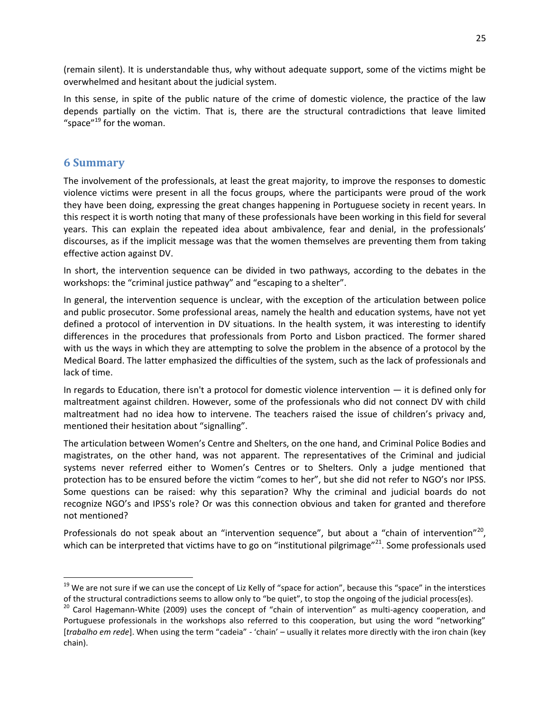(remain silent). It is understandable thus, why without adequate support, some of the victims might be overwhelmed and hesitant about the judicial system.

In this sense, in spite of the public nature of the crime of domestic violence, the practice of the law depends partially on the victim. That is, there are the structural contradictions that leave limited "space"<sup>19</sup> for the woman.

## **6 Summary**

 $\overline{a}$ 

The involvement of the professionals, at least the great majority, to improve the responses to domestic violence victims were present in all the focus groups, where the participants were proud of the work they have been doing, expressing the great changes happening in Portuguese society in recent years. In this respect it is worth noting that many of these professionals have been working in this field for several years. This can explain the repeated idea about ambivalence, fear and denial, in the professionals' discourses, as if the implicit message was that the women themselves are preventing them from taking effective action against DV.

In short, the intervention sequence can be divided in two pathways, according to the debates in the workshops: the "criminal justice pathway" and "escaping to a shelter".

In general, the intervention sequence is unclear, with the exception of the articulation between police and public prosecutor. Some professional areas, namely the health and education systems, have not yet defined a protocol of intervention in DV situations. In the health system, it was interesting to identify differences in the procedures that professionals from Porto and Lisbon practiced. The former shared with us the ways in which they are attempting to solve the problem in the absence of a protocol by the Medical Board. The latter emphasized the difficulties of the system, such as the lack of professionals and lack of time.

In regards to Education, there isn't a protocol for domestic violence intervention — it is defined only for maltreatment against children. However, some of the professionals who did not connect DV with child maltreatment had no idea how to intervene. The teachers raised the issue of children's privacy and, mentioned their hesitation about "signalling".

The articulation between Women's Centre and Shelters, on the one hand, and Criminal Police Bodies and magistrates, on the other hand, was not apparent. The representatives of the Criminal and judicial systems never referred either to Women's Centres or to Shelters. Only a judge mentioned that protection has to be ensured before the victim "comes to her", but she did not refer to NGO's nor IPSS. Some questions can be raised: why this separation? Why the criminal and judicial boards do not recognize NGO's and IPSS's role? Or was this connection obvious and taken for granted and therefore not mentioned?

Professionals do not speak about an "intervention sequence", but about a "chain of intervention"<sup>20</sup>, which can be interpreted that victims have to go on "institutional pilgrimage"<sup>21</sup>. Some professionals used

 $19$  We are not sure if we can use the concept of Liz Kelly of "space for action", because this "space" in the interstices of the structural contradictions seems to allow only to "be quiet", to stop the ongoing of the judicial process(es).

<sup>&</sup>lt;sup>20</sup> Carol Hagemann-White (2009) uses the concept of "chain of intervention" as multi-agency cooperation, and Portuguese professionals in the workshops also referred to this cooperation, but using the word "networking" [*trabalho em rede*]. When using the term "cadeia" - 'chain' – usually it relates more directly with the iron chain (key chain).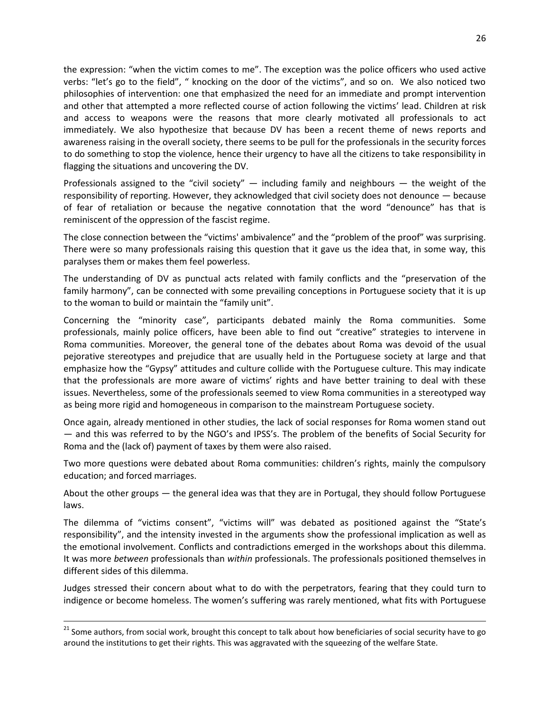the expression: "when the victim comes to me". The exception was the police officers who used active verbs: "let's go to the field", " knocking on the door of the victims", and so on. We also noticed two philosophies of intervention: one that emphasized the need for an immediate and prompt intervention and other that attempted a more reflected course of action following the victims' lead. Children at risk and access to weapons were the reasons that more clearly motivated all professionals to act immediately. We also hypothesize that because DV has been a recent theme of news reports and awareness raising in the overall society, there seems to be pull for the professionals in the security forces to do something to stop the violence, hence their urgency to have all the citizens to take responsibility in flagging the situations and uncovering the DV.

Professionals assigned to the "civil society"  $-$  including family and neighbours  $-$  the weight of the responsibility of reporting. However, they acknowledged that civil society does not denounce — because of fear of retaliation or because the negative connotation that the word "denounce" has that is reminiscent of the oppression of the fascist regime.

The close connection between the "victims' ambivalence" and the "problem of the proof" was surprising. There were so many professionals raising this question that it gave us the idea that, in some way, this paralyses them or makes them feel powerless.

The understanding of DV as punctual acts related with family conflicts and the "preservation of the family harmony", can be connected with some prevailing conceptions in Portuguese society that it is up to the woman to build or maintain the "family unit".

Concerning the "minority case", participants debated mainly the Roma communities. Some professionals, mainly police officers, have been able to find out "creative" strategies to intervene in Roma communities. Moreover, the general tone of the debates about Roma was devoid of the usual pejorative stereotypes and prejudice that are usually held in the Portuguese society at large and that emphasize how the "Gypsy" attitudes and culture collide with the Portuguese culture. This may indicate that the professionals are more aware of victims' rights and have better training to deal with these issues. Nevertheless, some of the professionals seemed to view Roma communities in a stereotyped way as being more rigid and homogeneous in comparison to the mainstream Portuguese society.

Once again, already mentioned in other studies, the lack of social responses for Roma women stand out — and this was referred to by the NGO's and IPSS's. The problem of the benefits of Social Security for Roma and the (lack of) payment of taxes by them were also raised.

Two more questions were debated about Roma communities: children's rights, mainly the compulsory education; and forced marriages.

About the other groups — the general idea was that they are in Portugal, they should follow Portuguese laws.

The dilemma of "victims consent", "victims will" was debated as positioned against the "State's responsibility", and the intensity invested in the arguments show the professional implication as well as the emotional involvement. Conflicts and contradictions emerged in the workshops about this dilemma. It was more *between* professionals than *within* professionals. The professionals positioned themselves in different sides of this dilemma.

Judges stressed their concern about what to do with the perpetrators, fearing that they could turn to indigence or become homeless. The women's suffering was rarely mentioned, what fits with Portuguese

 $\ddot{\phantom{a}}$ 

<sup>&</sup>lt;sup>21</sup> Some authors, from social work, brought this concept to talk about how beneficiaries of social security have to go around the institutions to get their rights. This was aggravated with the squeezing of the welfare State.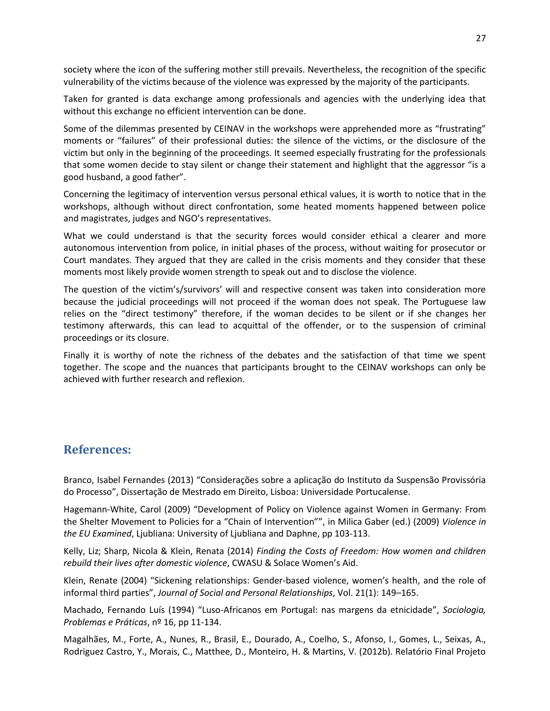society where the icon of the suffering mother still prevails. Nevertheless, the recognition of the specific vulnerability of the victims because of the violence was expressed by the majority of the participants.

Taken for granted is data exchange among professionals and agencies with the underlying idea that without this exchange no efficient intervention can be done.

Some of the dilemmas presented by CEINAV in the workshops were apprehended more as "frustrating" moments or "failures" of their professional duties: the silence of the victims, or the disclosure of the victim but only in the beginning of the proceedings. It seemed especially frustrating for the professionals that some women decide to stay silent or change their statement and highlight that the aggressor "is a good husband, a good father".

Concerning the legitimacy of intervention versus personal ethical values, it is worth to notice that in the workshops, although without direct confrontation, some heated moments happened between police and magistrates, judges and NGO's representatives.

What we could understand is that the security forces would consider ethical a clearer and more autonomous intervention from police, in initial phases of the process, without waiting for prosecutor or Court mandates. They argued that they are called in the crisis moments and they consider that these moments most likely provide women strength to speak out and to disclose the violence.

The question of the victim's/survivors' will and respective consent was taken into consideration more because the judicial proceedings will not proceed if the woman does not speak. The Portuguese law relies on the "direct testimony" therefore, if the woman decides to be silent or if she changes her testimony afterwards, this can lead to acquittal of the offender, or to the suspension of criminal proceedings or its closure.

Finally it is worthy of note the richness of the debates and the satisfaction of that time we spent together. The scope and the nuances that participants brought to the CEINAV workshops can only be achieved with further research and reflexion.

## **References:**

Branco, Isabel Fernandes (2013) "Considerações sobre a aplicação do Instituto da Suspensão Provissória do Processo", Dissertação de Mestrado em Direito, Lisboa: Universidade Portucalense.

Hagemann-White, Carol (2009) "Development of Policy on Violence against Women in Germany: From the Shelter Movement to Policies for a "Chain of Intervention"", in Milica Gaber (ed.) (2009) *Violence in the EU Examined*, Ljubliana: University of Ljubliana and Daphne, pp 103-113.

Kelly, Liz; Sharp, Nicola & Klein, Renata (2014) *Finding the Costs of Freedom: How women and children rebuild their lives after domestic violence*, CWASU & Solace Women's Aid.

Klein, Renate (2004) "Sickening relationships: Gender-based violence, women's health, and the role of informal third parties", *Journal of Social and Personal Relationships*, Vol. 21(1): 149–165.

Machado, Fernando Luís (1994) "Luso-Africanos em Portugal: nas margens da etnicidade", *Sociologia, Problemas e Práticas*, nº 16, pp 11-134.

Magalhães, M., Forte, A., Nunes, R., Brasil, E., Dourado, A., Coelho, S., Afonso, I., Gomes, L., Seixas, A., Rodriguez Castro, Y., Morais, C., Matthee, D., Monteiro, H. & Martins, V. (2012b). Relatório Final Projeto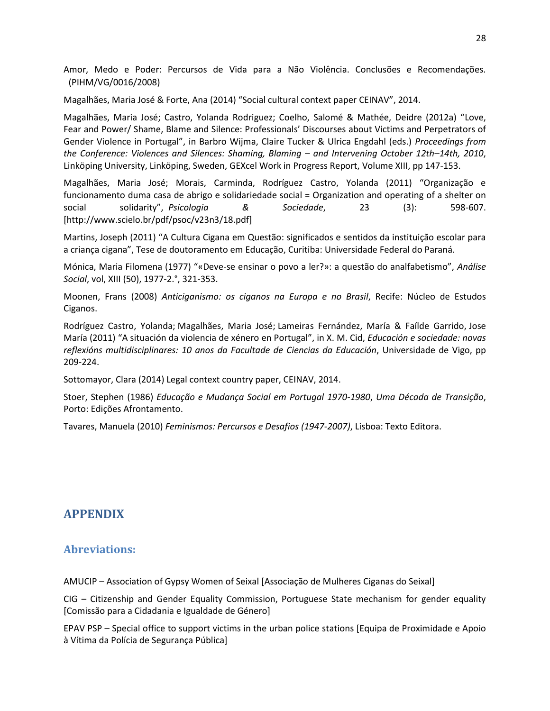Amor, Medo e Poder: Percursos de Vida para a Não Violência. Conclusões e Recomendações. (PIHM/VG/0016/2008)

Magalhães, Maria José & Forte, Ana (2014) "Social cultural context paper CEINAV", 2014.

Magalhães, Maria José; Castro, Yolanda Rodriguez; Coelho, Salomé & Mathée, Deidre (2012a) "Love, Fear and Power/ Shame, Blame and Silence: Professionals' Discourses about Victims and Perpetrators of Gender Violence in Portugal", in Barbro Wijma, Claire Tucker & Ulrica Engdahl (eds.) *Proceedings from the Conference: Violences and Silences: Shaming, Blaming – and Intervening October 12th–14th, 2010*, Linköping University, Linköping, Sweden, GEXcel Work in Progress Report, Volume XIII, pp 147-153.

Magalhães, Maria José; Morais, Carminda, Rodríguez Castro, Yolanda (2011) "Organização e funcionamento duma casa de abrigo e solidariedade social = Organization and operating of a shelter on social solidarity", *Psicologia & Sociedade*, 23 (3): 598-607. [http://www.scielo.br/pdf/psoc/v23n3/18.pdf]

Martins, Joseph (2011) "A Cultura Cigana em Questão: significados e sentidos da instituição escolar para a criança cigana", Tese de doutoramento em Educação, Curitiba: Universidade Federal do Paraná.

Mónica, Maria Filomena (1977) "«Deve-se ensinar o povo a ler?»: a questão do analfabetismo", *Análise Social*, vol, XIII (50), 1977-2.°, 321-353.

Moonen, Frans (2008) *Anticiganismo: os ciganos na Europa e no Brasil*, Recife: Núcleo de Estudos Ciganos.

Rodríguez Castro, Yolanda; Magalhães, Maria José; Lameiras Fernández, María & Faílde Garrido, Jose María (2011) "A situación da violencia de xénero en Portugal", in X. M. Cid, *Educación e sociedade: novas reflexións multidisciplinares: 10 anos da Facultade de Ciencias da Educación*, Universidade de Vigo, pp 209-224.

Sottomayor, Clara (2014) Legal context country paper, CEINAV, 2014.

Stoer, Stephen (1986) *Educação e Mudança Social em Portugal 1970-1980*, *Uma Década de Transição*, Porto: Edições Afrontamento.

Tavares, Manuela (2010) *Feminismos: Percursos e Desafios (1947-2007)*, Lisboa: Texto Editora.

# **APPENDIX**

## **Abreviations:**

AMUCIP – Association of Gypsy Women of Seixal [Associação de Mulheres Ciganas do Seixal]

CIG – Citizenship and Gender Equality Commission, Portuguese State mechanism for gender equality [Comissão para a Cidadania e Igualdade de Género]

EPAV PSP – Special office to support victims in the urban police stations [Equipa de Proximidade e Apoio à Vítima da Polícia de Segurança Pública]